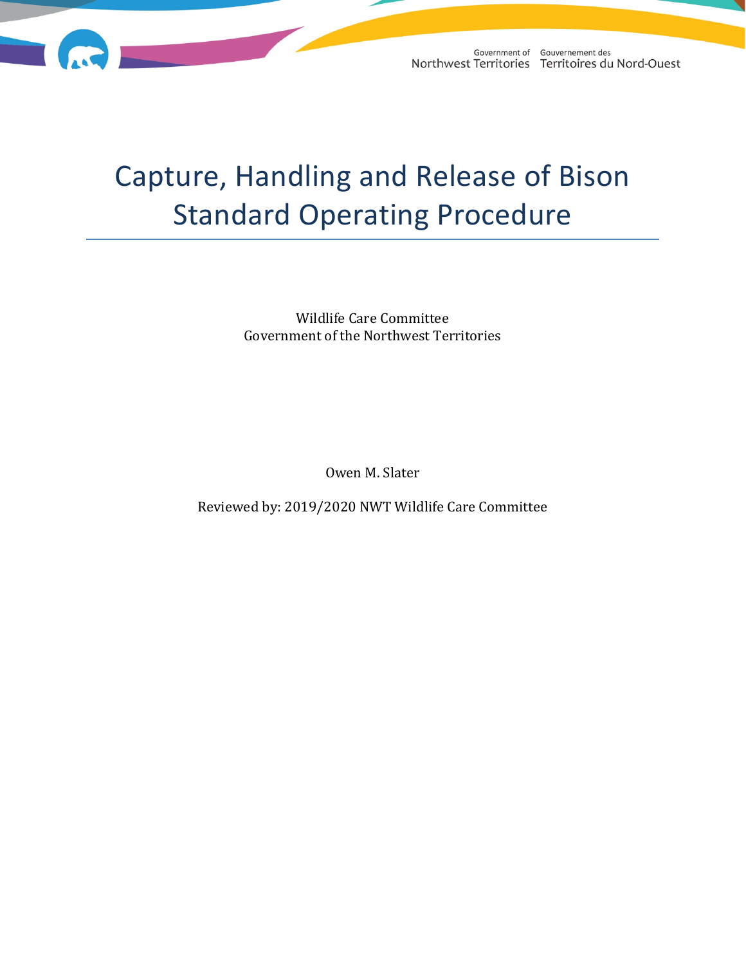

Government of Gouvernement des Northwest Territories Territoires du Nord-Ouest

# Capture, Handling and Release of Bison Standard Operating Procedure

Wildlife Care Committee Government of the Northwest Territories

Owen M. Slater

Reviewed by: 2019/2020 NWT Wildlife Care Committee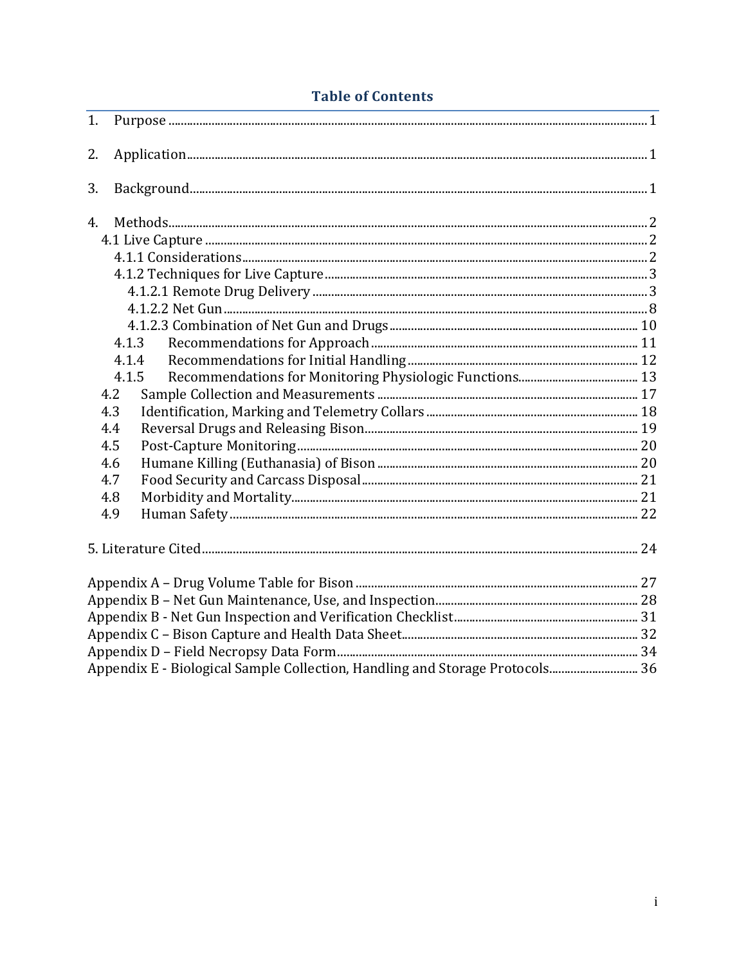# **Table of Contents**

| 1.  |                                                                              |  |  |  |  |  |
|-----|------------------------------------------------------------------------------|--|--|--|--|--|
| 2.  |                                                                              |  |  |  |  |  |
| 3.  |                                                                              |  |  |  |  |  |
| 4.  |                                                                              |  |  |  |  |  |
|     |                                                                              |  |  |  |  |  |
|     |                                                                              |  |  |  |  |  |
|     |                                                                              |  |  |  |  |  |
|     |                                                                              |  |  |  |  |  |
|     |                                                                              |  |  |  |  |  |
|     |                                                                              |  |  |  |  |  |
|     | 4.1.3                                                                        |  |  |  |  |  |
|     | 4.1.4                                                                        |  |  |  |  |  |
|     | 4.1.5                                                                        |  |  |  |  |  |
| 4.2 |                                                                              |  |  |  |  |  |
| 4.3 |                                                                              |  |  |  |  |  |
| 4.4 |                                                                              |  |  |  |  |  |
| 4.5 |                                                                              |  |  |  |  |  |
| 4.6 |                                                                              |  |  |  |  |  |
| 4.7 |                                                                              |  |  |  |  |  |
| 4.8 |                                                                              |  |  |  |  |  |
| 4.9 |                                                                              |  |  |  |  |  |
|     |                                                                              |  |  |  |  |  |
|     |                                                                              |  |  |  |  |  |
|     |                                                                              |  |  |  |  |  |
|     |                                                                              |  |  |  |  |  |
|     |                                                                              |  |  |  |  |  |
|     |                                                                              |  |  |  |  |  |
|     | Appendix E - Biological Sample Collection, Handling and Storage Protocols 36 |  |  |  |  |  |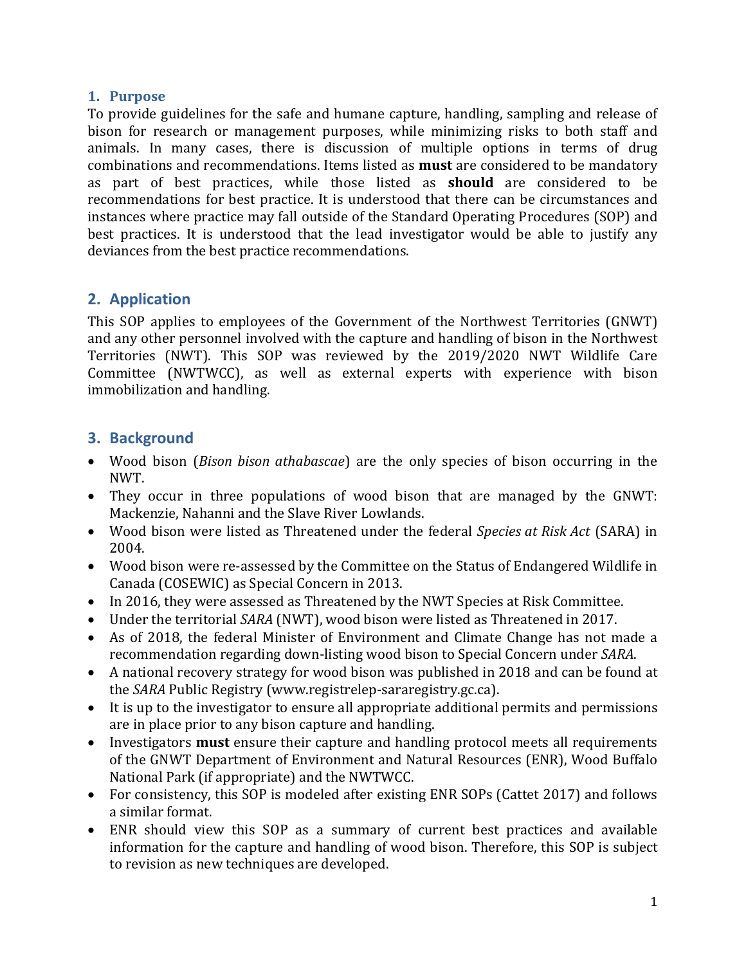#### <span id="page-3-0"></span>**1. Purpose**

To provide guidelines for the safe and humane capture, handling, sampling and release of bison for research or management purposes, while minimizing risks to both staff and animals. In many cases, there is discussion of multiple options in terms of drug combinations and recommendations. Items listed as **must** are considered to be mandatory as part of best practices, while those listed as **should** are considered to be recommendations for best practice. It is understood that there can be circumstances and instances where practice may fall outside of the Standard Operating Procedures (SOP) and best practices. It is understood that the lead investigator would be able to justify any deviances from the best practice recommendations.

# <span id="page-3-1"></span>**2. Application**

This SOP applies to employees of the Government of the Northwest Territories (GNWT) and any other personnel involved with the capture and handling of bison in the Northwest Territories (NWT). This SOP was reviewed by the 2019/2020 NWT Wildlife Care Committee (NWTWCC), as well as external experts with experience with bison immobilization and handling.

# <span id="page-3-2"></span>**3. Background**

- Wood bison (*Bison bison athabascae*) are the only species of bison occurring in the NWT.
- They occur in three populations of wood bison that are managed by the GNWT: Mackenzie, Nahanni and the Slave River Lowlands.
- Wood bison were listed as Threatened under the federal *Species at Risk Act* (SARA) in 2004.
- Wood bison were re-assessed by the Committee on the Status of Endangered Wildlife in Canada (COSEWIC) as Special Concern in 2013.
- In 2016, they were assessed as Threatened by the NWT Species at Risk Committee.
- Under the territorial *SARA* (NWT), wood bison were listed as Threatened in 2017.
- As of 2018, the federal Minister of Environment and Climate Change has not made a recommendation regarding down-listing wood bison to Special Concern under *SARA*.
- A national recovery strategy for wood bison was published in 2018 and can be found at the *SARA* Public Registry (www.registrelep-sararegistry.gc.ca).
- It is up to the investigator to ensure all appropriate additional permits and permissions are in place prior to any bison capture and handling.
- Investigators **must** ensure their capture and handling protocol meets all requirements of the GNWT Department of Environment and Natural Resources (ENR), Wood Buffalo National Park (if appropriate) and the NWTWCC.
- For consistency, this SOP is modeled after existing ENR SOPs (Cattet 2017) and follows a similar format.
- ENR should view this SOP as a summary of current best practices and available information for the capture and handling of wood bison. Therefore, this SOP is subject to revision as new techniques are developed.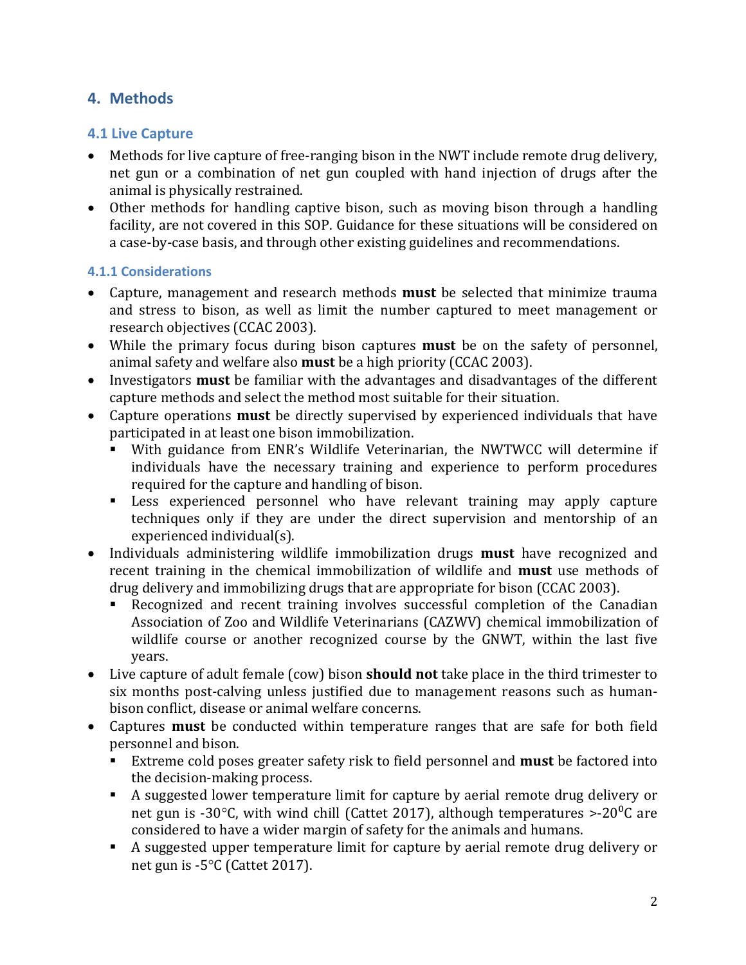# <span id="page-4-0"></span>**4. Methods**

# <span id="page-4-1"></span>**4.1 Live Capture**

- Methods for live capture of free-ranging bison in the NWT include remote drug delivery, net gun or a combination of net gun coupled with hand injection of drugs after the animal is physically restrained.
- Other methods for handling captive bison, such as moving bison through a handling facility, are not covered in this SOP. Guidance for these situations will be considered on a case-by-case basis, and through other existing guidelines and recommendations.

#### <span id="page-4-2"></span>**4.1.1 Considerations**

- Capture, management and research methods **must** be selected that minimize trauma and stress to bison, as well as limit the number captured to meet management or research objectives (CCAC 2003).
- While the primary focus during bison captures **must** be on the safety of personnel, animal safety and welfare also **must** be a high priority (CCAC 2003).
- Investigators **must** be familiar with the advantages and disadvantages of the different capture methods and select the method most suitable for their situation.
- Capture operations **must** be directly supervised by experienced individuals that have participated in at least one bison immobilization.
	- With guidance from ENR's Wildlife Veterinarian, the NWTWCC will determine if individuals have the necessary training and experience to perform procedures required for the capture and handling of bison.
	- Less experienced personnel who have relevant training may apply capture techniques only if they are under the direct supervision and mentorship of an experienced individual(s).
- Individuals administering wildlife immobilization drugs **must** have recognized and recent training in the chemical immobilization of wildlife and **must** use methods of drug delivery and immobilizing drugs that are appropriate for bison (CCAC 2003).
	- Recognized and recent training involves successful completion of the Canadian Association of Zoo and Wildlife Veterinarians (CAZWV) chemical immobilization of wildlife course or another recognized course by the GNWT, within the last five years.
- Live capture of adult female (cow) bison **should not** take place in the third trimester to six months post-calving unless justified due to management reasons such as humanbison conflict, disease or animal welfare concerns.
- Captures **must** be conducted within temperature ranges that are safe for both field personnel and bison.
	- Extreme cold poses greater safety risk to field personnel and **must** be factored into the decision-making process.
	- A suggested lower temperature limit for capture by aerial remote drug delivery or net gun is -30 $^{\circ}$ C, with wind chill (Cattet 2017), although temperatures >-20 $^{\circ}$ C are considered to have a wider margin of safety for the animals and humans.
	- A suggested upper temperature limit for capture by aerial remote drug delivery or net gun is -5°C (Cattet 2017).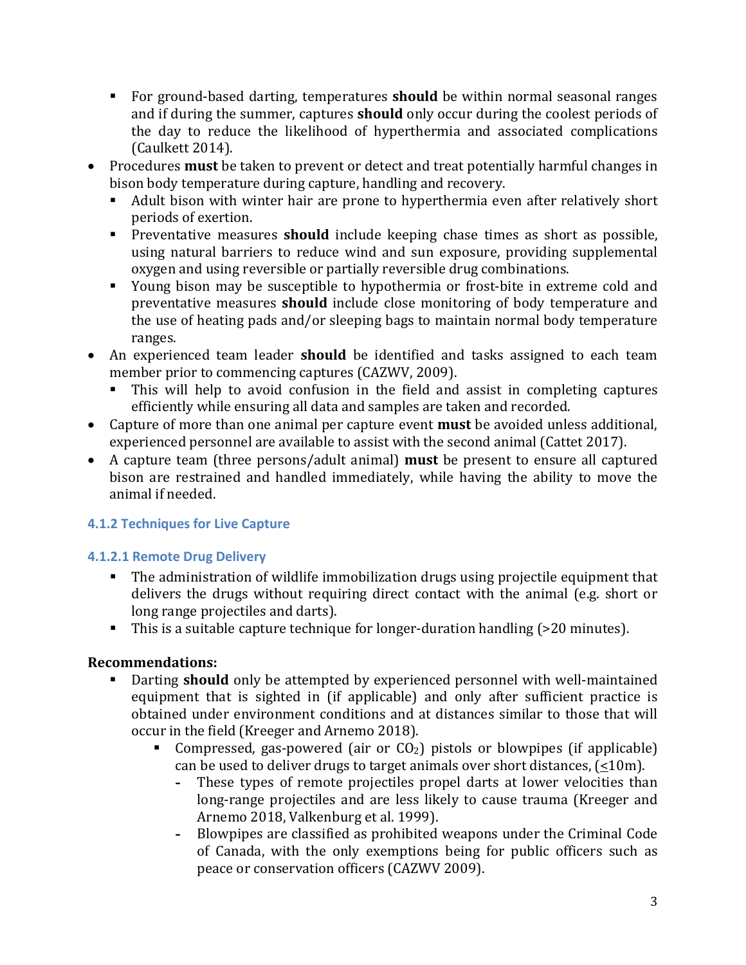- For ground-based darting, temperatures **should** be within normal seasonal ranges and if during the summer, captures **should** only occur during the coolest periods of the day to reduce the likelihood of hyperthermia and associated complications (Caulkett 2014).
- Procedures **must** be taken to prevent or detect and treat potentially harmful changes in bison body temperature during capture, handling and recovery.<br>• Adult bison with winter hair are prone to hyperthermia eve
	- Adult bison with winter hair are prone to hyperthermia even after relatively short periods of exertion.
	- **Preventative measures should** include keeping chase times as short as possible, using natural barriers to reduce wind and sun exposure, providing supplemental oxygen and using reversible or partially reversible drug combinations.
	- Young bison may be susceptible to hypothermia or frost-bite in extreme cold and preventative measures **should** include close monitoring of body temperature and the use of heating pads and/or sleeping bags to maintain normal body temperature ranges.
- An experienced team leader **should** be identified and tasks assigned to each team member prior to commencing captures (CAZWV, 2009).
	- This will help to avoid confusion in the field and assist in completing captures efficiently while ensuring all data and samples are taken and recorded.
- Capture of more than one animal per capture event **must** be avoided unless additional, experienced personnel are available to assist with the second animal (Cattet 2017).
- A capture team (three persons/adult animal) **must** be present to ensure all captured bison are restrained and handled immediately, while having the ability to move the animal if needed.

# <span id="page-5-0"></span>**4.1.2 Techniques for Live Capture**

# <span id="page-5-1"></span>**4.1.2.1 Remote Drug Delivery**

- The administration of wildlife immobilization drugs using projectile equipment that delivers the drugs without requiring direct contact with the animal (e.g. short or long range projectiles and darts).
- This is a suitable capture technique for longer-duration handling (>20 minutes).

- Darting **should** only be attempted by experienced personnel with well-maintained equipment that is sighted in (if applicable) and only after sufficient practice is obtained under environment conditions and at distances similar to those that will occur in the field (Kreeger and Arnemo 2018).<br>■ Compressed, gas-powered (air, or  $CO_2$ )
	- Compressed, gas-powered (air or  $CO<sub>2</sub>$ ) pistols or blowpipes (if applicable) can be used to deliver drugs to target animals over short distances,  $(\leq 10m)$ .<br>- These types of remote projectiles propel darts at lower velocities that
		- **-** These types of remote projectiles propel darts at lower velocities than long-range projectiles and are less likely to cause trauma (Kreeger and Arnemo 2018, Valkenburg et al. 1999).
		- **-** Blowpipes are classified as prohibited weapons under the Criminal Code of Canada, with the only exemptions being for public officers such as peace or conservation officers (CAZWV 2009).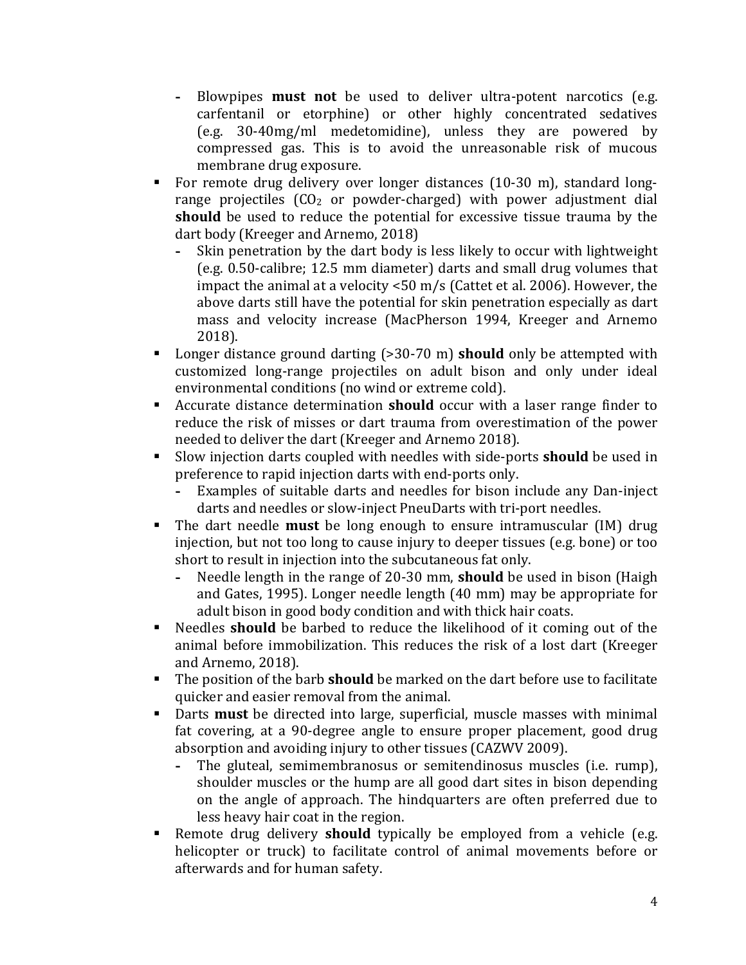- **-** Blowpipes **must not** be used to deliver ultra-potent narcotics (e.g. carfentanil or etorphine) or other highly concentrated sedatives (e.g. 30-40mg/ml medetomidine), unless they are powered by compressed gas. This is to avoid the unreasonable risk of mucous membrane drug exposure.
- For remote drug delivery over longer distances (10-30 m), standard longrange projectiles  $(CO<sub>2</sub>$  or powder-charged) with power adjustment dial **should** be used to reduce the potential for excessive tissue trauma by the dart body (Kreeger and Arnemo, 2018)<br>- Skin penetration by the dart body is
	- **-** Skin penetration by the dart body is less likely to occur with lightweight (e.g. 0.50-calibre; 12.5 mm diameter) darts and small drug volumes that impact the animal at a velocity <50 m/s (Cattet et al. 2006). However, the above darts still have the potential for skin penetration especially as dart mass and velocity increase (MacPherson 1994, Kreeger and Arnemo 2018).
- Longer distance ground darting (>30-70 m) **should** only be attempted with customized long-range projectiles on adult bison and only under ideal environmental conditions (no wind or extreme cold).
- Accurate distance determination **should** occur with a laser range finder to reduce the risk of misses or dart trauma from overestimation of the power needed to deliver the dart (Kreeger and Arnemo 2018).
- Slow injection darts coupled with needles with side-ports **should** be used in preference to rapid injection darts with end-ports only.
	- **-** Examples of suitable darts and needles for bison include any Dan-inject darts and needles or slow-inject PneuDarts with tri-port needles.
- The dart needle **must** be long enough to ensure intramuscular (IM) drug injection, but not too long to cause injury to deeper tissues (e.g. bone) or too short to result in injection into the subcutaneous fat only.<br>- Needle length in the range of 20-30 mm, **should** be u
	- **-** Needle length in the range of 20-30 mm, **should** be used in bison (Haigh and Gates, 1995). Longer needle length (40 mm) may be appropriate for adult bison in good body condition and with thick hair coats.
- Needles **should** be barbed to reduce the likelihood of it coming out of the animal before immobilization. This reduces the risk of a lost dart (Kreeger and Arnemo, 2018).
- The position of the barb **should** be marked on the dart before use to facilitate quicker and easier removal from the animal.
- Darts **must** be directed into large, superficial, muscle masses with minimal fat covering, at a 90-degree angle to ensure proper placement, good drug absorption and avoiding injury to other tissues (CAZWV 2009).<br>- The gluteal, semimembranosus or semitendinosus muscle
	- **-** The gluteal, semimembranosus or semitendinosus muscles (i.e. rump), shoulder muscles or the hump are all good dart sites in bison depending on the angle of approach. The hindquarters are often preferred due to less heavy hair coat in the region.
- Remote drug delivery **should** typically be employed from a vehicle (e.g. helicopter or truck) to facilitate control of animal movements before or afterwards and for human safety.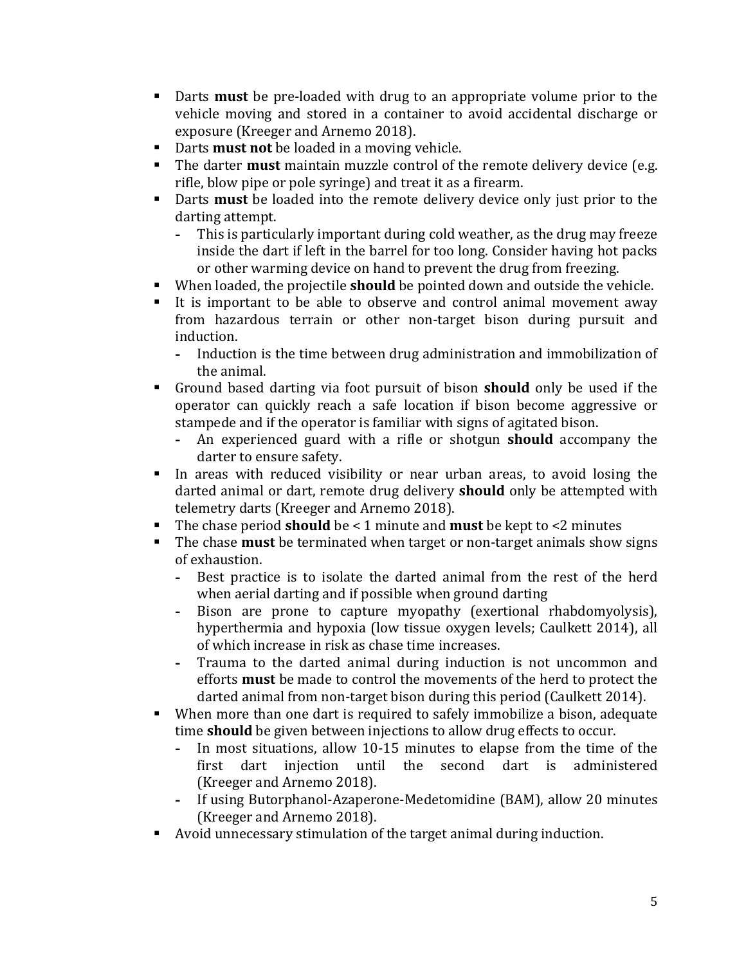- Darts **must** be pre-loaded with drug to an appropriate volume prior to the vehicle moving and stored in a container to avoid accidental discharge or exposure (Kreeger and Arnemo 2018).
- Darts **must not** be loaded in a moving vehicle.
- The darter **must** maintain muzzle control of the remote delivery device (e.g. rifle, blow pipe or pole syringe) and treat it as a firearm.
- Darts **must** be loaded into the remote delivery device only just prior to the darting attempt.<br>- This is partici
	- **-** This is particularly important during cold weather, as the drug may freeze inside the dart if left in the barrel for too long. Consider having hot packs or other warming device on hand to prevent the drug from freezing.
- When loaded, the projectile **should** be pointed down and outside the vehicle.
- It is important to be able to observe and control animal movement away from hazardous terrain or other non-target bison during pursuit and induction.<br>- Inducti
	- **-** Induction is the time between drug administration and immobilization of the animal.
- Ground based darting via foot pursuit of bison **should** only be used if the operator can quickly reach a safe location if bison become aggressive or stampede and if the operator is familiar with signs of agitated bison.<br>- An experienced guard with a rifle or shotgun **should** accomu
	- **-** An experienced guard with a rifle or shotgun **should** accompany the darter to ensure safety.
- In areas with reduced visibility or near urban areas, to avoid losing the darted animal or dart, remote drug delivery **should** only be attempted with telemetry darts (Kreeger and Arnemo 2018).
- The chase period **should** be < 1 minute and **must** be kept to <2 minutes<br>■ The chase **must** be terminated when target or non-target animals show
- The chase **must** be terminated when target or non-target animals show signs of exhaustion.
	- **-** Best practice is to isolate the darted animal from the rest of the herd when aerial darting and if possible when ground darting
	- **-** Bison are prone to capture myopathy (exertional rhabdomyolysis), hyperthermia and hypoxia (low tissue oxygen levels; Caulkett 2014), all of which increase in risk as chase time increases.
	- **-** Trauma to the darted animal during induction is not uncommon and efforts **must** be made to control the movements of the herd to protect the darted animal from non-target bison during this period (Caulkett 2014).
- When more than one dart is required to safely immobilize a bison, adequate time **should** be given between injections to allow drug effects to occur.
	- **-** In most situations, allow 10-15 minutes to elapse from the time of the first dart injection until the second dart is administered (Kreeger and Arnemo 2018).
	- **-** If using Butorphanol-Azaperone-Medetomidine (BAM), allow 20 minutes (Kreeger and Arnemo 2018).
- Avoid unnecessary stimulation of the target animal during induction.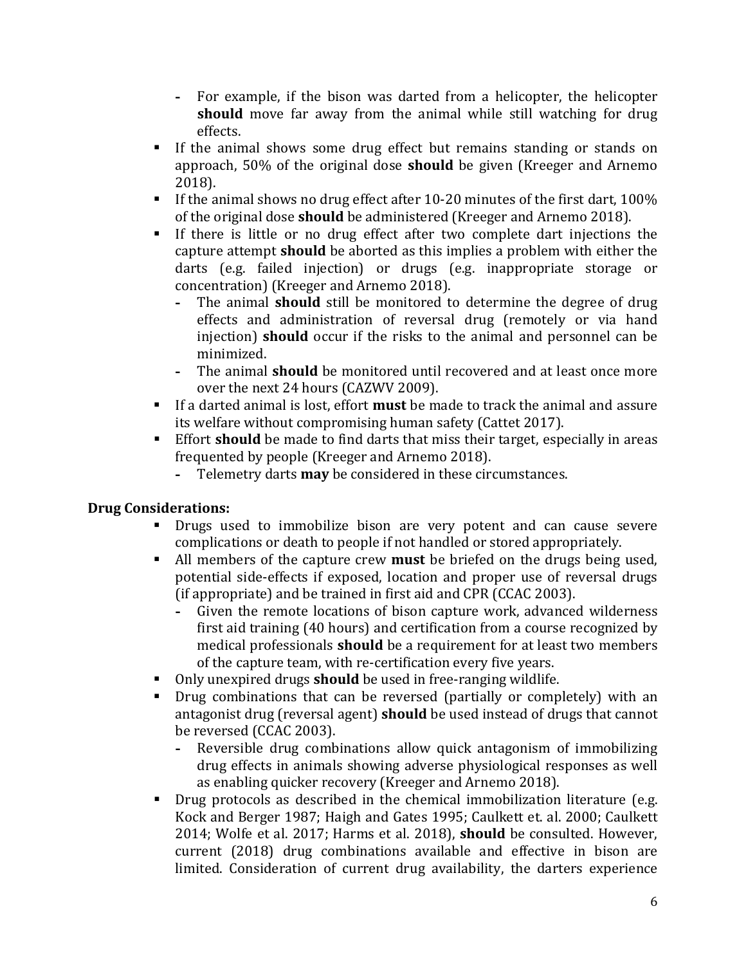- **-** For example, if the bison was darted from a helicopter, the helicopter **should** move far away from the animal while still watching for drug effects.
- If the animal shows some drug effect but remains standing or stands on approach, 50% of the original dose **should** be given (Kreeger and Arnemo 2018).
- If the animal shows no drug effect after 10-20 minutes of the first dart, 100% of the original dose **should** be administered (Kreeger and Arnemo 2018).
- If there is little or no drug effect after two complete dart injections the capture attempt **should** be aborted as this implies a problem with either the darts (e.g. failed injection) or drugs (e.g. inappropriate storage or concentration) (Kreeger and Arnemo 2018).<br>- The animal **should** still be monitored to
	- **-** The animal **should** still be monitored to determine the degree of drug effects and administration of reversal drug (remotely or via hand injection) **should** occur if the risks to the animal and personnel can be minimized.
	- **-** The animal **should** be monitored until recovered and at least once more over the next 24 hours (CAZWV 2009).
- If a darted animal is lost, effort **must** be made to track the animal and assure its welfare without compromising human safety (Cattet 2017).
- Effort **should** be made to find darts that miss their target, especially in areas frequented by people (Kreeger and Arnemo 2018).
	- **-** Telemetry darts **may** be considered in these circumstances.

# **Drug Considerations:**

- Drugs used to immobilize bison are very potent and can cause severe complications or death to people if not handled or stored appropriately.
- All members of the capture crew **must** be briefed on the drugs being used, potential side-effects if exposed, location and proper use of reversal drugs (if appropriate) and be trained in first aid and CPR (CCAC 2003).
	- **-** Given the remote locations of bison capture work, advanced wilderness first aid training (40 hours) and certification from a course recognized by medical professionals **should** be a requirement for at least two members of the capture team, with re-certification every five years.
- **Only unexpired drugs should** be used in free-ranging wildlife.<br>**Drug combinations that can be reversed (partially or comp)**
- Drug combinations that can be reversed (partially or completely) with an antagonist drug (reversal agent) **should** be used instead of drugs that cannot be reversed (CCAC 2003).<br>- Reversible drug comb
	- **-** Reversible drug combinations allow quick antagonism of immobilizing drug effects in animals showing adverse physiological responses as well as enabling quicker recovery (Kreeger and Arnemo 2018).
- **•** Drug protocols as described in the chemical immobilization literature (e.g. Kock and Berger 1987; Haigh and Gates 1995; Caulkett et. al. 2000; Caulkett 2014; Wolfe et al. 2017; Harms et al. 2018), **should** be consulted. However, current (2018) drug combinations available and effective in bison are limited. Consideration of current drug availability, the darters experience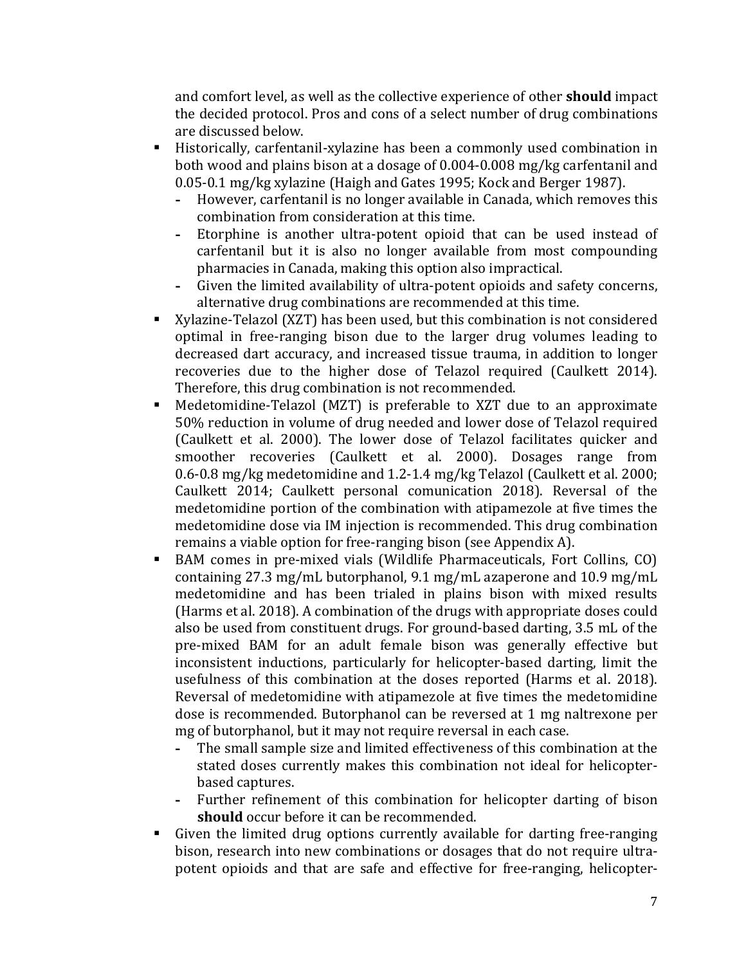and comfort level, as well as the collective experience of other **should** impact the decided protocol. Pros and cons of a select number of drug combinations are discussed below.

- Historically, carfentanil-xylazine has been a commonly used combination in both wood and plains bison at a dosage of 0.004-0.008 mg/kg carfentanil and 0.05-0.1 mg/kg xylazine (Haigh and Gates 1995; Kock and Berger 1987).<br>- However, carfentanil is no longer available in Canada, which removes
	- **-** However, carfentanil is no longer available in Canada, which removes this combination from consideration at this time.
	- **-** Etorphine is another ultra-potent opioid that can be used instead of carfentanil but it is also no longer available from most compounding pharmacies in Canada, making this option also impractical.
	- **-** Given the limited availability of ultra-potent opioids and safety concerns, alternative drug combinations are recommended at this time.
- Xylazine-Telazol (XZT) has been used, but this combination is not considered optimal in free-ranging bison due to the larger drug volumes leading to decreased dart accuracy, and increased tissue trauma, in addition to longer recoveries due to the higher dose of Telazol required (Caulkett 2014). Therefore, this drug combination is not recommended.
- Medetomidine-Telazol (MZT) is preferable to XZT due to an approximate 50% reduction in volume of drug needed and lower dose of Telazol required (Caulkett et al. 2000). The lower dose of Telazol facilitates quicker and smoother recoveries (Caulkett et al. 2000). Dosages range from 0.6-0.8 mg/kg medetomidine and 1.2-1.4 mg/kg Telazol (Caulkett et al. 2000; Caulkett 2014; Caulkett personal comunication 2018). Reversal of the medetomidine portion of the combination with atipamezole at five times the medetomidine dose via IM injection is recommended. This drug combination remains a viable option for free-ranging bison (see Appendix A).
- BAM comes in pre-mixed vials (Wildlife Pharmaceuticals, Fort Collins, CO) containing 27.3 mg/mL butorphanol, 9.1 mg/mL azaperone and 10.9 mg/mL medetomidine and has been trialed in plains bison with mixed results (Harms et al. 2018). A combination of the drugs with appropriate doses could also be used from constituent drugs. For ground-based darting, 3.5 mL of the pre-mixed BAM for an adult female bison was generally effective but inconsistent inductions, particularly for helicopter-based darting, limit the usefulness of this combination at the doses reported (Harms et al. 2018). Reversal of medetomidine with atipamezole at five times the medetomidine dose is recommended. Butorphanol can be reversed at 1 mg naltrexone per mg of butorphanol, but it may not require reversal in each case.<br>- The small sample size and limited effectiveness of this comb
	- **-** The small sample size and limited effectiveness of this combination at the stated doses currently makes this combination not ideal for helicopterbased captures.
	- **-** Further refinement of this combination for helicopter darting of bison **should** occur before it can be recommended.
- Given the limited drug options currently available for darting free-ranging bison, research into new combinations or dosages that do not require ultrapotent opioids and that are safe and effective for free-ranging, helicopter-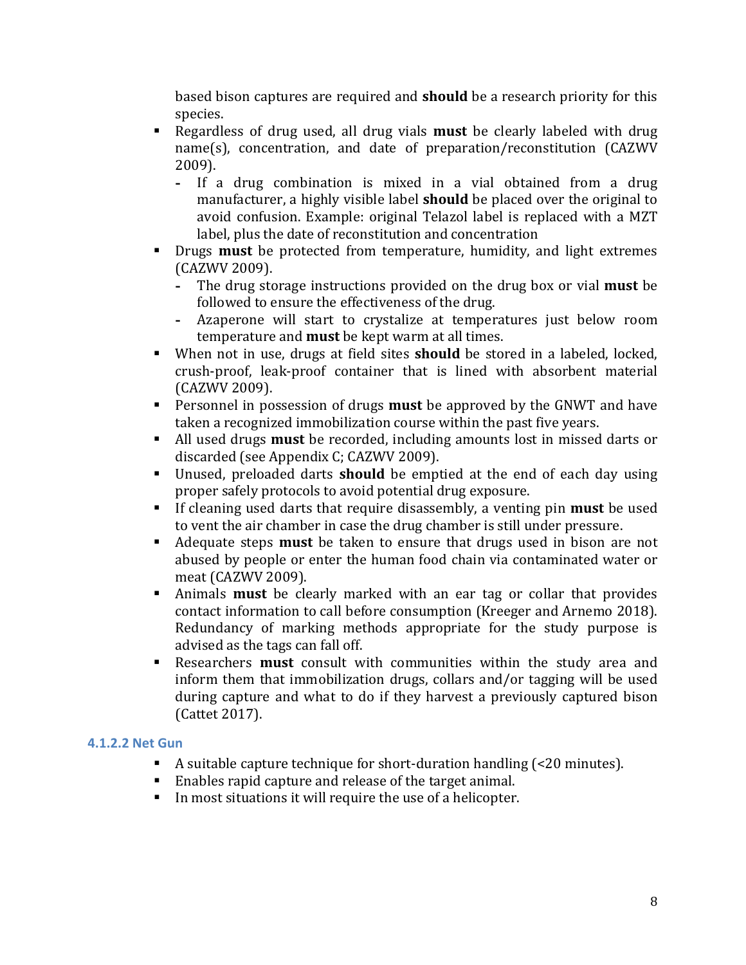based bison captures are required and **should** be a research priority for this species.

- Regardless of drug used, all drug vials **must** be clearly labeled with drug name(s), concentration, and date of preparation/reconstitution (CAZWV 2009).
	- **-** If a drug combination is mixed in a vial obtained from a drug manufacturer, a highly visible label **should** be placed over the original to avoid confusion. Example: original Telazol label is replaced with a MZT label, plus the date of reconstitution and concentration
- **Drugs must** be protected from temperature, humidity, and light extremes (CAZWV 2009).
	- **-** The drug storage instructions provided on the drug box or vial **must** be followed to ensure the effectiveness of the drug.
	- **-** Azaperone will start to crystalize at temperatures just below room temperature and **must** be kept warm at all times.
- When not in use, drugs at field sites **should** be stored in a labeled, locked, crush-proof, leak-proof container that is lined with absorbent material (CAZWV 2009).
- Personnel in possession of drugs **must** be approved by the GNWT and have taken a recognized immobilization course within the past five years.
- All used drugs **must** be recorded, including amounts lost in missed darts or discarded (see Appendix C; CAZWV 2009).
- Unused, preloaded darts **should** be emptied at the end of each day using proper safely protocols to avoid potential drug exposure.
- If cleaning used darts that require disassembly, a venting pin **must** be used to vent the air chamber in case the drug chamber is still under pressure.
- Adequate steps **must** be taken to ensure that drugs used in bison are not abused by people or enter the human food chain via contaminated water or meat (CAZWV 2009).
- Animals **must** be clearly marked with an ear tag or collar that provides contact information to call before consumption (Kreeger and Arnemo 2018). Redundancy of marking methods appropriate for the study purpose is advised as the tags can fall off.
- Researchers **must** consult with communities within the study area and inform them that immobilization drugs, collars and/or tagging will be used during capture and what to do if they harvest a previously captured bison (Cattet 2017).

# <span id="page-10-0"></span>**4.1.2.2 Net Gun**

- A suitable capture technique for short-duration handling (<20 minutes).
- Enables rapid capture and release of the target animal.
- In most situations it will require the use of a helicopter.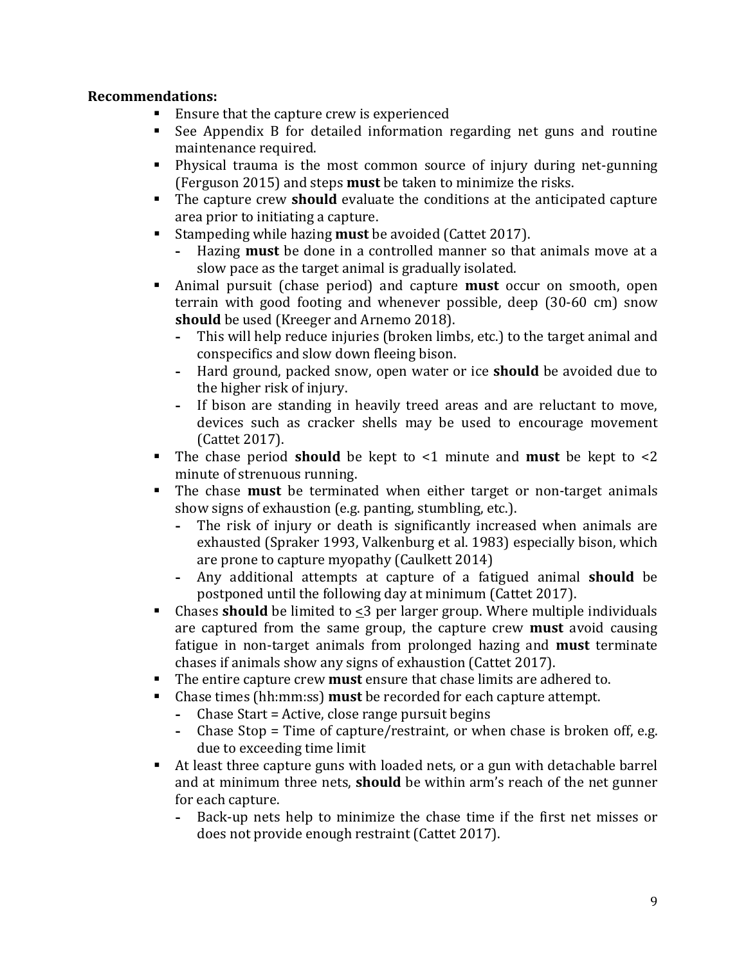- Ensure that the capture crew is experienced<br>■ See Appendix B for detailed information r
- See Appendix B for detailed information regarding net guns and routine maintenance required.
- Physical trauma is the most common source of injury during net-gunning (Ferguson 2015) and steps **must** be taken to minimize the risks.
- The capture crew **should** evaluate the conditions at the anticipated capture area prior to initiating a capture.
- Stampeding while hazing **must** be avoided (Cattet 2017).
	- **-** Hazing **must** be done in a controlled manner so that animals move at a slow pace as the target animal is gradually isolated.
- Animal pursuit (chase period) and capture **must** occur on smooth, open terrain with good footing and whenever possible, deep (30-60 cm) snow **should** be used (Kreeger and Arnemo 2018).
	- **-** This will help reduce injuries (broken limbs, etc.) to the target animal and conspecifics and slow down fleeing bison.
	- **-** Hard ground, packed snow, open water or ice **should** be avoided due to the higher risk of injury.
	- **-** If bison are standing in heavily treed areas and are reluctant to move, devices such as cracker shells may be used to encourage movement (Cattet 2017).
- The chase period **should** be kept to <1 minute and **must** be kept to <2 minute of strenuous running.
- The chase **must** be terminated when either target or non-target animals show signs of exhaustion (e.g. panting, stumbling, etc.).<br>- The risk of injury or death is significantly increas
	- **-** The risk of injury or death is significantly increased when animals are exhausted (Spraker 1993, Valkenburg et al. 1983) especially bison, which are prone to capture myopathy (Caulkett 2014)
	- **-** Any additional attempts at capture of a fatigued animal **should** be postponed until the following day at minimum (Cattet 2017).
- Chases **should** be limited to <3 per larger group. Where multiple individuals are captured from the same group, the capture crew **must** avoid causing fatigue in non-target animals from prolonged hazing and **must** terminate chases if animals show any signs of exhaustion (Cattet 2017).
- The entire capture crew **must** ensure that chase limits are adhered to.<br>■ Chase times (hh:mm:ss) **must** be recorded for each canture attemnt.
- Chase times (hh:mm:ss) **must** be recorded for each capture attempt.
	- **-** Chase Start = Active, close range pursuit begins
	- **-** Chase Stop = Time of capture/restraint, or when chase is broken off, e.g. due to exceeding time limit
- At least three capture guns with loaded nets, or a gun with detachable barrel and at minimum three nets, **should** be within arm's reach of the net gunner for each capture.
	- **-** Back-up nets help to minimize the chase time if the first net misses or does not provide enough restraint (Cattet 2017).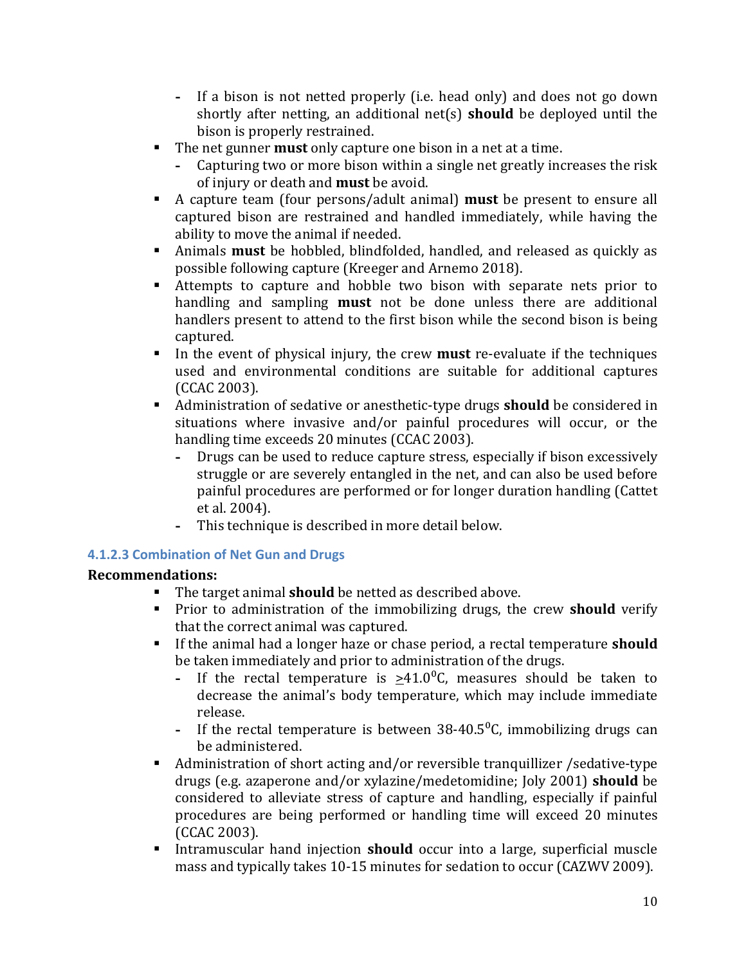- **-** If a bison is not netted properly (i.e. head only) and does not go down shortly after netting, an additional net(s) **should** be deployed until the bison is properly restrained.
- The net gunner **must** only capture one bison in a net at a time.
	- **-** Capturing two or more bison within a single net greatly increases the risk of injury or death and **must** be avoid.
- A capture team (four persons/adult animal) **must** be present to ensure all captured bison are restrained and handled immediately, while having the ability to move the animal if needed.
- Animals **must** be hobbled, blindfolded, handled, and released as quickly as possible following capture (Kreeger and Arnemo 2018).
- Attempts to capture and hobble two bison with separate nets prior to handling and sampling **must** not be done unless there are additional handlers present to attend to the first bison while the second bison is being captured.
- In the event of physical injury, the crew **must** re-evaluate if the techniques used and environmental conditions are suitable for additional captures (CCAC 2003).
- Administration of sedative or anesthetic-type drugs **should** be considered in situations where invasive and/or painful procedures will occur, or the handling time exceeds 20 minutes (CCAC 2003).<br>- Drugs can be used to reduce capture stress.
	- **-** Drugs can be used to reduce capture stress, especially if bison excessively struggle or are severely entangled in the net, and can also be used before painful procedures are performed or for longer duration handling (Cattet et al. 2004).
	- **-** This technique is described in more detail below.

# <span id="page-12-0"></span>**4.1.2.3 Combination of Net Gun and Drugs**

- The target animal **should** be netted as described above.
- **Prior to administration of the immobilizing drugs, the crew <b>should** verify that the correct animal was captured.
- If the animal had a longer haze or chase period, a rectal temperature **should** be taken immediately and prior to administration of the drugs.<br>- If the rectal temperature is  $>41.0^{\circ}$ C. measures should
	- If the rectal temperature is  $>41.0\degree$ C, measures should be taken to decrease the animal's body temperature, which may include immediate release.
	- **-** If the rectal temperature is between 38-40.5⁰C, immobilizing drugs can be administered.
- Administration of short acting and/or reversible tranquillizer /sedative-type drugs (e.g. azaperone and/or xylazine/medetomidine; Joly 2001) **should** be considered to alleviate stress of capture and handling, especially if painful procedures are being performed or handling time will exceed 20 minutes (CCAC 2003).
- Intramuscular hand injection **should** occur into a large, superficial muscle mass and typically takes 10-15 minutes for sedation to occur (CAZWV 2009).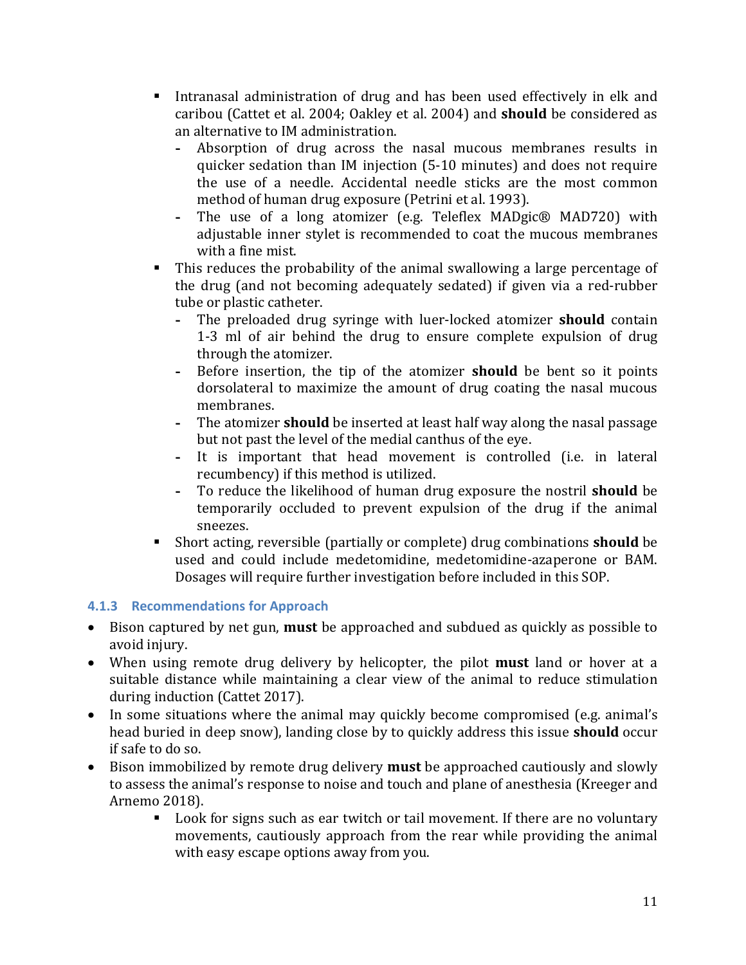- Intranasal administration of drug and has been used effectively in elk and caribou (Cattet et al. 2004; Oakley et al. 2004) and **should** be considered as an alternative to IM administration.
	- **-** Absorption of drug across the nasal mucous membranes results in quicker sedation than IM injection (5-10 minutes) and does not require the use of a needle. Accidental needle sticks are the most common method of human drug exposure (Petrini et al. 1993).
	- **-** The use of a long atomizer (e.g. Teleflex MADgic® MAD720) with adjustable inner stylet is recommended to coat the mucous membranes with a fine mist.
- This reduces the probability of the animal swallowing a large percentage of the drug (and not becoming adequately sedated) if given via a red-rubber tube or plastic catheter.<br>- The preloaded drug
	- **-** The preloaded drug syringe with luer-locked atomizer **should** contain 1-3 ml of air behind the drug to ensure complete expulsion of drug through the atomizer.
	- **-** Before insertion, the tip of the atomizer **should** be bent so it points dorsolateral to maximize the amount of drug coating the nasal mucous membranes.
	- **-** The atomizer **should** be inserted at least half way along the nasal passage but not past the level of the medial canthus of the eye.
	- **-** It is important that head movement is controlled (i.e. in lateral recumbency) if this method is utilized.
	- **-** To reduce the likelihood of human drug exposure the nostril **should** be temporarily occluded to prevent expulsion of the drug if the animal sneezes.
- Short acting, reversible (partially or complete) drug combinations **should** be used and could include medetomidine, medetomidine-azaperone or BAM. Dosages will require further investigation before included in this SOP.

# <span id="page-13-0"></span>**4.1.3 Recommendations for Approach**

- Bison captured by net gun, **must** be approached and subdued as quickly as possible to avoid injury.
- When using remote drug delivery by helicopter, the pilot **must** land or hover at a suitable distance while maintaining a clear view of the animal to reduce stimulation during induction (Cattet 2017).
- In some situations where the animal may quickly become compromised (e.g. animal's head buried in deep snow), landing close by to quickly address this issue **should** occur if safe to do so.
- Bison immobilized by remote drug delivery **must** be approached cautiously and slowly to assess the animal's response to noise and touch and plane of anesthesia (Kreeger and Arnemo 2018).<br>Look **Exercise** 
	- Look for signs such as ear twitch or tail movement. If there are no voluntary movements, cautiously approach from the rear while providing the animal with easy escape options away from you.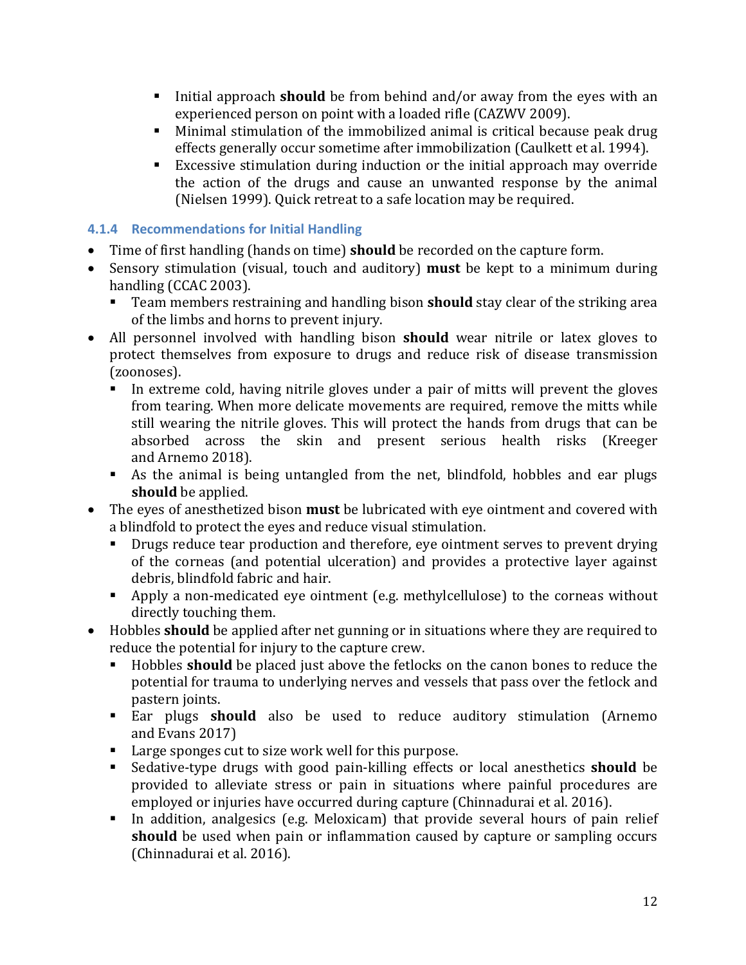- Initial approach **should** be from behind and/or away from the eyes with an experienced person on point with a loaded rifle (CAZWV 2009).
- Minimal stimulation of the immobilized animal is critical because peak drug effects generally occur sometime after immobilization (Caulkett et al. 1994).
- Excessive stimulation during induction or the initial approach may override the action of the drugs and cause an unwanted response by the animal (Nielsen 1999). Quick retreat to a safe location may be required.

### <span id="page-14-0"></span>**4.1.4 Recommendations for Initial Handling**

- Time of first handling (hands on time) **should** be recorded on the capture form.
- Sensory stimulation (visual, touch and auditory) **must** be kept to a minimum during handling (CCAC 2003).<br>Team members rest
	- Team members restraining and handling bison **should** stay clear of the striking area of the limbs and horns to prevent injury.
- All personnel involved with handling bison **should** wear nitrile or latex gloves to protect themselves from exposure to drugs and reduce risk of disease transmission (zoonoses).
	- In extreme cold, having nitrile gloves under a pair of mitts will prevent the gloves from tearing. When more delicate movements are required, remove the mitts while still wearing the nitrile gloves. This will protect the hands from drugs that can be absorbed across the skin and present serious health risks (Kreeger and Arnemo 2018).
	- As the animal is being untangled from the net, blindfold, hobbles and ear plugs **should** be applied.
- The eyes of anesthetized bison **must** be lubricated with eye ointment and covered with a blindfold to protect the eyes and reduce visual stimulation.
	- **Drugs reduce tear production and therefore, eye ointment serves to prevent drying** of the corneas (and potential ulceration) and provides a protective layer against debris, blindfold fabric and hair.
	- Apply a non-medicated eye ointment (e.g. methylcellulose) to the corneas without directly touching them.
- Hobbles **should** be applied after net gunning or in situations where they are required to
	- reduce the potential for injury to the capture crew.<br>• Hobbles **should** be placed just above the fetloc Hobbles **should** be placed just above the fetlocks on the canon bones to reduce the potential for trauma to underlying nerves and vessels that pass over the fetlock and pastern joints.
	- Ear plugs **should** also be used to reduce auditory stimulation (Arnemo and Evans 2017)
	- **Large sponges cut to size work well for this purpose.**
	- Sedative-type drugs with good pain-killing effects or local anesthetics **should** be provided to alleviate stress or pain in situations where painful procedures are employed or injuries have occurred during capture (Chinnadurai et al. 2016).
	- In addition, analgesics (e.g. Meloxicam) that provide several hours of pain relief **should** be used when pain or inflammation caused by capture or sampling occurs (Chinnadurai et al. 2016).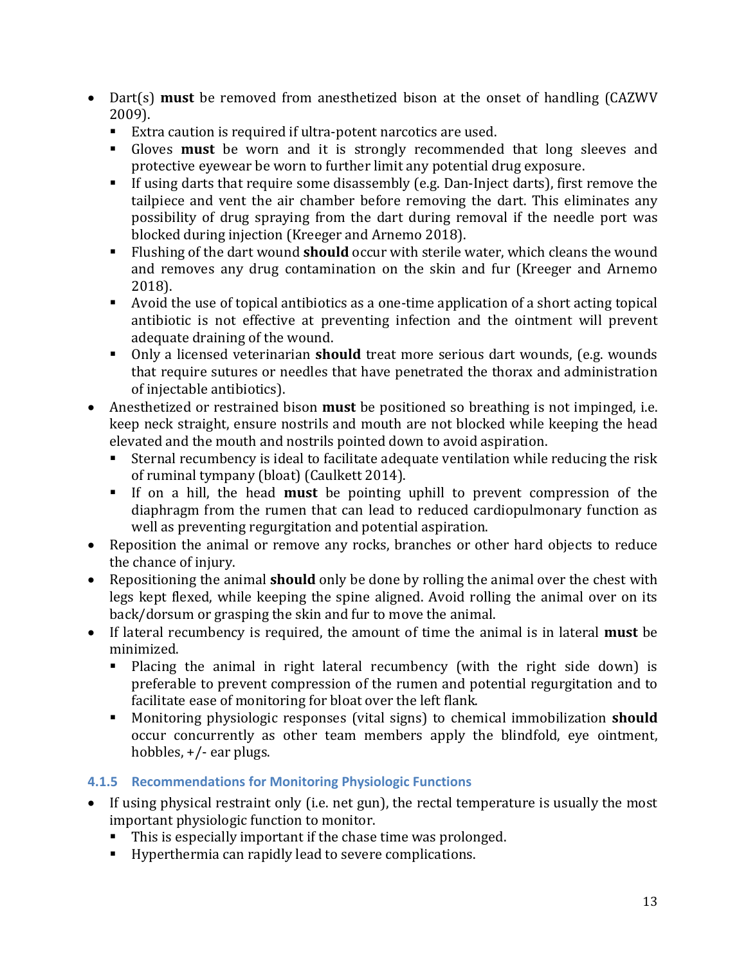- Dart(s) **must** be removed from anesthetized bison at the onset of handling (CAZWV 2009).
	- Extra caution is required if ultra-potent narcotics are used.<br>■ Gloves **must** be worn and it is strongly recommended
	- Gloves **must** be worn and it is strongly recommended that long sleeves and protective eyewear be worn to further limit any potential drug exposure.
	- If using darts that require some disassembly (e.g. Dan-Inject darts), first remove the tailpiece and vent the air chamber before removing the dart. This eliminates any possibility of drug spraying from the dart during removal if the needle port was blocked during injection (Kreeger and Arnemo 2018).
	- Flushing of the dart wound **should** occur with sterile water, which cleans the wound and removes any drug contamination on the skin and fur (Kreeger and Arnemo 2018).
	- Avoid the use of topical antibiotics as a one-time application of a short acting topical antibiotic is not effective at preventing infection and the ointment will prevent adequate draining of the wound.
	- Only a licensed veterinarian **should** treat more serious dart wounds, (e.g. wounds that require sutures or needles that have penetrated the thorax and administration of injectable antibiotics).
- Anesthetized or restrained bison **must** be positioned so breathing is not impinged, i.e. keep neck straight, ensure nostrils and mouth are not blocked while keeping the head elevated and the mouth and nostrils pointed down to avoid aspiration.<br>• Sternal recumbency is ideal to facilitate adequate ventilation while
	- Sternal recumbency is ideal to facilitate adequate ventilation while reducing the risk of ruminal tympany (bloat) (Caulkett 2014).
	- If on a hill, the head **must** be pointing uphill to prevent compression of the diaphragm from the rumen that can lead to reduced cardiopulmonary function as well as preventing regurgitation and potential aspiration.
- Reposition the animal or remove any rocks, branches or other hard objects to reduce the chance of injury.
- Repositioning the animal **should** only be done by rolling the animal over the chest with legs kept flexed, while keeping the spine aligned. Avoid rolling the animal over on its back/dorsum or grasping the skin and fur to move the animal.
- If lateral recumbency is required, the amount of time the animal is in lateral **must** be minimized.
	- Placing the animal in right lateral recumbency (with the right side down) is preferable to prevent compression of the rumen and potential regurgitation and to facilitate ease of monitoring for bloat over the left flank.
	- Monitoring physiologic responses (vital signs) to chemical immobilization **should** occur concurrently as other team members apply the blindfold, eye ointment, hobbles, +/- ear plugs.

# <span id="page-15-0"></span>**4.1.5 Recommendations for Monitoring Physiologic Functions**

- If using physical restraint only (i.e. net gun), the rectal temperature is usually the most important physiologic function to monitor.
	- This is especially important if the chase time was prolonged.
	- Hyperthermia can rapidly lead to severe complications.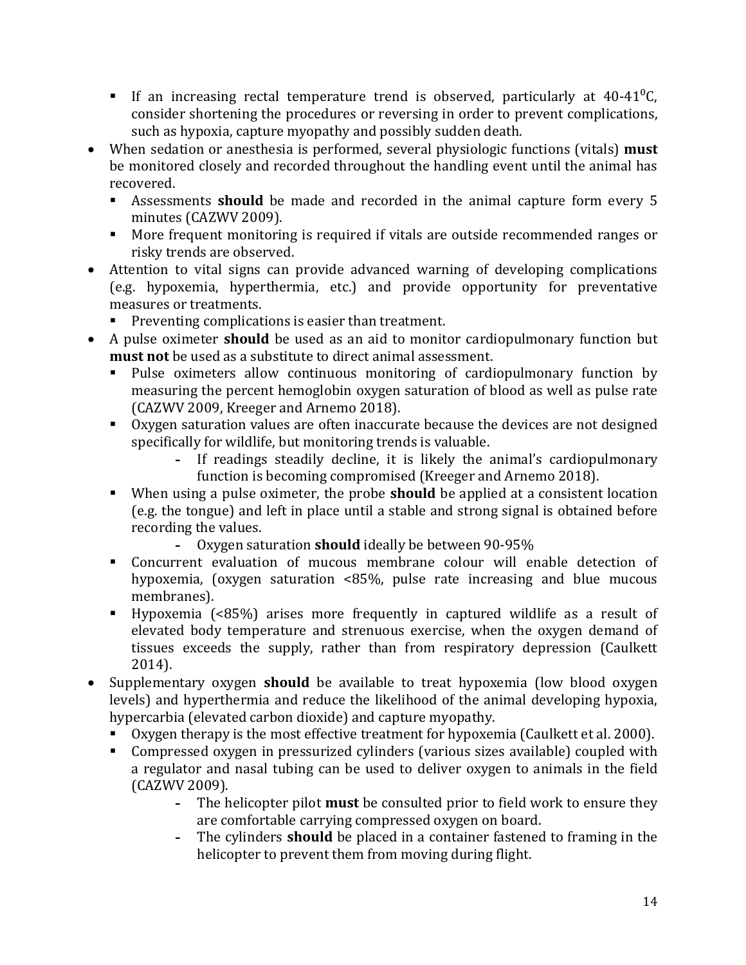- If an increasing rectal temperature trend is observed, particularly at  $40-41^{\circ}$ C, consider shortening the procedures or reversing in order to prevent complications, such as hypoxia, capture myopathy and possibly sudden death.
- When sedation or anesthesia is performed, several physiologic functions (vitals) **must** be monitored closely and recorded throughout the handling event until the animal has recovered.<br>■ Assessn
	- Assessments **should** be made and recorded in the animal capture form every 5 minutes (CAZWV 2009).
	- More frequent monitoring is required if vitals are outside recommended ranges or risky trends are observed.
- Attention to vital signs can provide advanced warning of developing complications (e.g. hypoxemia, hyperthermia, etc.) and provide opportunity for preventative measures or treatments.
	- **Preventing complications is easier than treatment.**
- A pulse oximeter **should** be used as an aid to monitor cardiopulmonary function but **must not** be used as a substitute to direct animal assessment.
	- Pulse oximeters allow continuous monitoring of cardiopulmonary function by measuring the percent hemoglobin oxygen saturation of blood as well as pulse rate (CAZWV 2009, Kreeger and Arnemo 2018).
	- Oxygen saturation values are often inaccurate because the devices are not designed specifically for wildlife, but monitoring trends is valuable.<br>- If readings steadily decline, it is likely the
		- **-** If readings steadily decline, it is likely the animal's cardiopulmonary function is becoming compromised (Kreeger and Arnemo 2018).
	- When using a pulse oximeter, the probe **should** be applied at a consistent location (e.g. the tongue) and left in place until a stable and strong signal is obtained before recording the values.<br>- Oxygen sat
		- **-** Oxygen saturation **should** ideally be between 90-95%
	- Concurrent evaluation of mucous membrane colour will enable detection of hypoxemia, (oxygen saturation <85%, pulse rate increasing and blue mucous membranes).
	- Hypoxemia (<85%) arises more frequently in captured wildlife as a result of elevated body temperature and strenuous exercise, when the oxygen demand of tissues exceeds the supply, rather than from respiratory depression (Caulkett 2014).
- Supplementary oxygen **should** be available to treat hypoxemia (low blood oxygen levels) and hyperthermia and reduce the likelihood of the animal developing hypoxia, hypercarbia (elevated carbon dioxide) and capture myopathy.
	- Oxygen therapy is the most effective treatment for hypoxemia (Caulkett et al. 2000).
	- Compressed oxygen in pressurized cylinders (various sizes available) coupled with a regulator and nasal tubing can be used to deliver oxygen to animals in the field (CAZWV 2009).
		- **-** The helicopter pilot **must** be consulted prior to field work to ensure they are comfortable carrying compressed oxygen on board.
		- **-** The cylinders **should** be placed in a container fastened to framing in the helicopter to prevent them from moving during flight.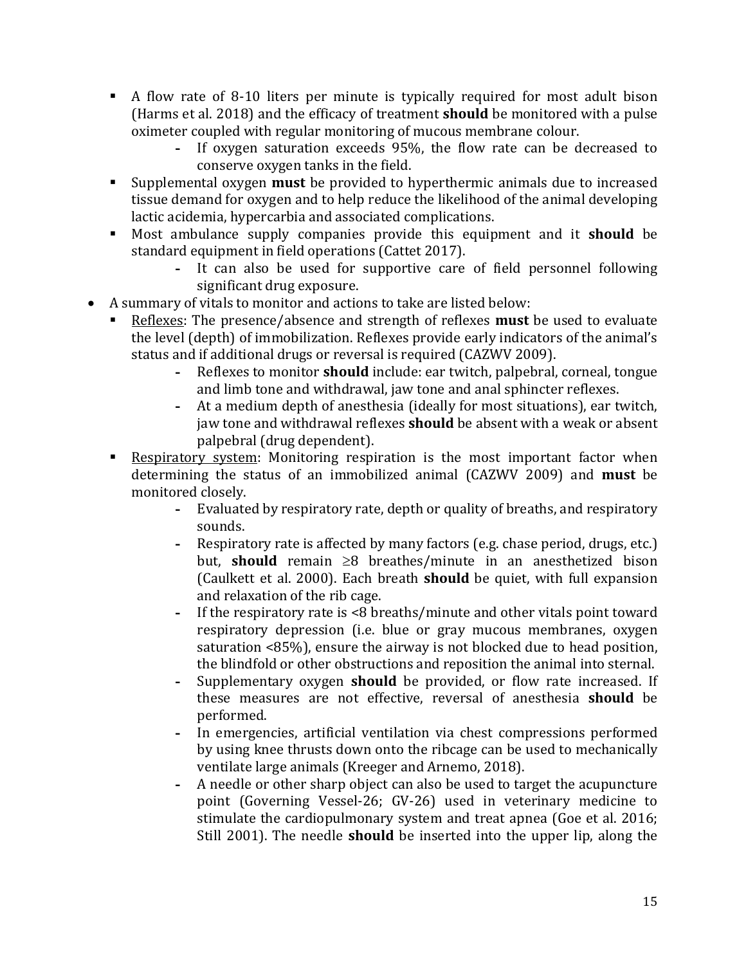- A flow rate of 8-10 liters per minute is typically required for most adult bison (Harms et al. 2018) and the efficacy of treatment **should** be monitored with a pulse oximeter coupled with regular monitoring of mucous membrane colour.<br>- If oxygen saturation exceeds 95%, the flow rate can be denoted
	- **-** If oxygen saturation exceeds 95%, the flow rate can be decreased to conserve oxygen tanks in the field.
- Supplemental oxygen **must** be provided to hyperthermic animals due to increased tissue demand for oxygen and to help reduce the likelihood of the animal developing lactic acidemia, hypercarbia and associated complications.
- Most ambulance supply companies provide this equipment and it **should** be standard equipment in field operations (Cattet 2017).
	- **-** It can also be used for supportive care of field personnel following significant drug exposure.
- A summary of vitals to monitor and actions to take are listed below:
	- Reflexes: The presence/absence and strength of reflexes **must** be used to evaluate the level (depth) of immobilization. Reflexes provide early indicators of the animal's status and if additional drugs or reversal is required (CAZWV 2009).
		- **-** Reflexes to monitor **should** include: ear twitch, palpebral, corneal, tongue and limb tone and withdrawal, jaw tone and anal sphincter reflexes.
		- **-** At a medium depth of anesthesia (ideally for most situations), ear twitch, jaw tone and withdrawal reflexes **should** be absent with a weak or absent palpebral (drug dependent).
	- Respiratory system: Monitoring respiration is the most important factor when determining the status of an immobilized animal (CAZWV 2009) and **must** be monitored closely.<br>- Evaluate
		- **-** Evaluated by respiratory rate, depth or quality of breaths, and respiratory sounds.
		- **-** Respiratory rate is affected by many factors (e.g. chase period, drugs, etc.) but, **should** remain ≥8 breathes/minute in an anesthetized bison (Caulkett et al. 2000). Each breath **should** be quiet, with full expansion and relaxation of the rib cage.
		- **-** If the respiratory rate is <8 breaths/minute and other vitals point toward respiratory depression (i.e. blue or gray mucous membranes, oxygen saturation <85%), ensure the airway is not blocked due to head position, the blindfold or other obstructions and reposition the animal into sternal.
		- **-** Supplementary oxygen **should** be provided, or flow rate increased. If these measures are not effective, reversal of anesthesia **should** be performed.
		- **-** In emergencies, artificial ventilation via chest compressions performed by using knee thrusts down onto the ribcage can be used to mechanically ventilate large animals (Kreeger and Arnemo, 2018).
		- **-** A needle or other sharp object can also be used to target the acupuncture point (Governing Vessel-26; GV-26) used in veterinary medicine to stimulate the cardiopulmonary system and treat apnea (Goe et al. 2016; Still 2001). The needle **should** be inserted into the upper lip, along the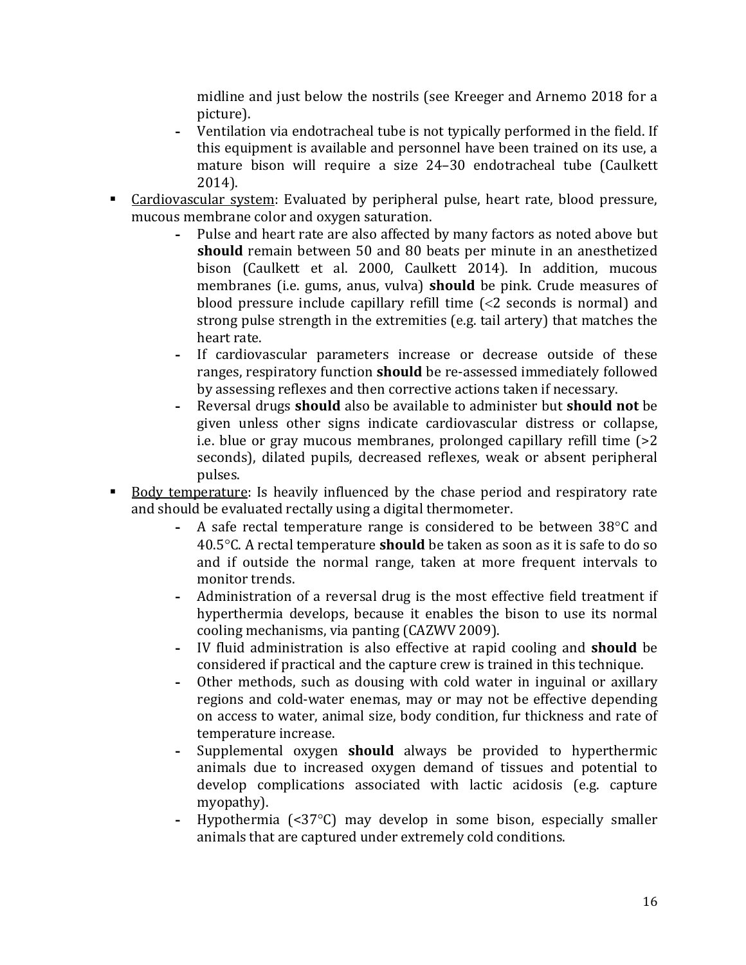midline and just below the nostrils (see Kreeger and Arnemo 2018 for a picture).

- **-** Ventilation via endotracheal tube is not typically performed in the field. If this equipment is available and personnel have been trained on its use, a mature bison will require a size 24–30 endotracheal tube (Caulkett 2014).
- **Cardiovascular system:** Evaluated by peripheral pulse, heart rate, blood pressure, mucous membrane color and oxygen saturation.
	- **-** Pulse and heart rate are also affected by many factors as noted above but **should** remain between 50 and 80 beats per minute in an anesthetized bison (Caulkett et al. 2000, Caulkett 2014). In addition, mucous membranes (i.e. gums, anus, vulva) **should** be pink. Crude measures of blood pressure include capillary refill time (<2 seconds is normal) and strong pulse strength in the extremities (e.g. tail artery) that matches the heart rate.
	- **-** If cardiovascular parameters increase or decrease outside of these ranges, respiratory function **should** be re-assessed immediately followed by assessing reflexes and then corrective actions taken if necessary.
	- **-** Reversal drugs **should** also be available to administer but **should not** be given unless other signs indicate cardiovascular distress or collapse, i.e. blue or gray mucous membranes, prolonged capillary refill time (>2 seconds), dilated pupils, decreased reflexes, weak or absent peripheral pulses.
- Body temperature: Is heavily influenced by the chase period and respiratory rate and should be evaluated rectally using a digital thermometer.
	- **-** A safe rectal temperature range is considered to be between 38°C and 40.5°C. A rectal temperature **should** be taken as soon as it is safe to do so and if outside the normal range, taken at more frequent intervals to monitor trends.
	- **-** Administration of a reversal drug is the most effective field treatment if hyperthermia develops, because it enables the bison to use its normal cooling mechanisms, via panting (CAZWV 2009).
	- **-** IV fluid administration is also effective at rapid cooling and **should** be considered if practical and the capture crew is trained in this technique.
	- **-** Other methods, such as dousing with cold water in inguinal or axillary regions and cold-water enemas, may or may not be effective depending on access to water, animal size, body condition, fur thickness and rate of temperature increase.
	- **-** Supplemental oxygen **should** always be provided to hyperthermic animals due to increased oxygen demand of tissues and potential to develop complications associated with lactic acidosis (e.g. capture myopathy).
	- **-** Hypothermia (<37°C) may develop in some bison, especially smaller animals that are captured under extremely cold conditions.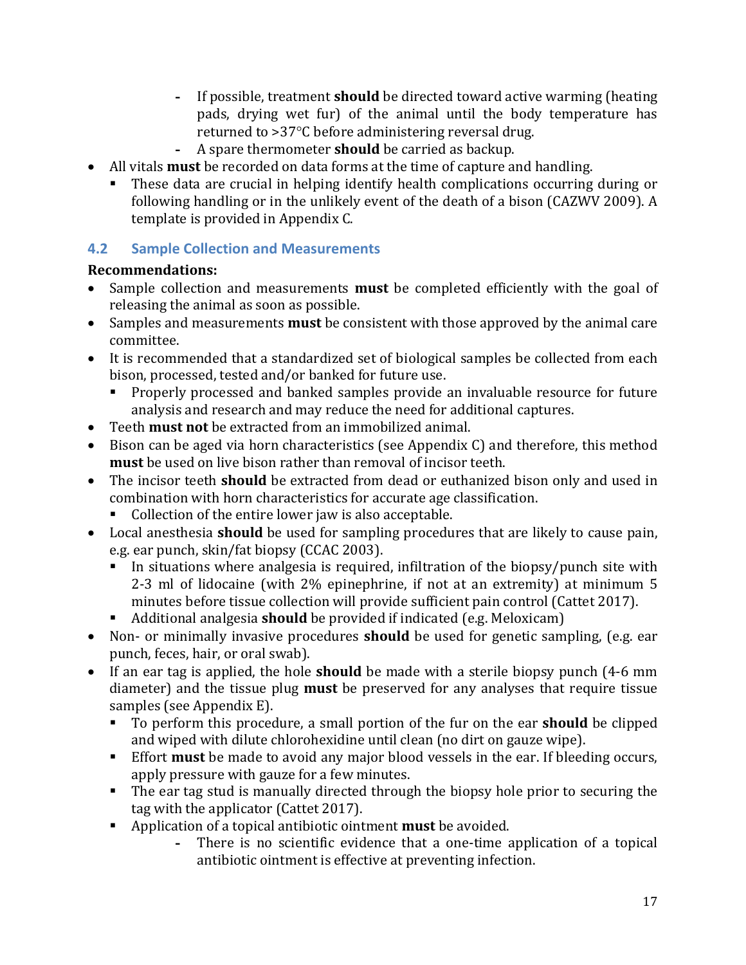- **-** If possible, treatment **should** be directed toward active warming (heating pads, drying wet fur) of the animal until the body temperature has returned to >37°C before administering reversal drug.
- **-** A spare thermometer **should** be carried as backup.
- All vitals **must** be recorded on data forms at the time of capture and handling.
	- These data are crucial in helping identify health complications occurring during or following handling or in the unlikely event of the death of a bison (CAZWV 2009). A template is provided in Appendix C.

# <span id="page-19-0"></span>**4.2 Sample Collection and Measurements**

- Sample collection and measurements **must** be completed efficiently with the goal of releasing the animal as soon as possible.
- Samples and measurements **must** be consistent with those approved by the animal care committee.
- It is recommended that a standardized set of biological samples be collected from each bison, processed, tested and/or banked for future use.
	- **Properly processed and banked samples provide an invaluable resource for future** analysis and research and may reduce the need for additional captures.
- Teeth **must not** be extracted from an immobilized animal.
- Bison can be aged via horn characteristics (see Appendix C) and therefore, this method **must** be used on live bison rather than removal of incisor teeth.
- The incisor teeth **should** be extracted from dead or euthanized bison only and used in combination with horn characteristics for accurate age classification.
	- Collection of the entire lower jaw is also acceptable.
- Local anesthesia **should** be used for sampling procedures that are likely to cause pain, e.g. ear punch, skin/fat biopsy (CCAC 2003).
	- In situations where analgesia is required, infiltration of the biopsy/punch site with 2-3 ml of lidocaine (with 2% epinephrine, if not at an extremity) at minimum 5 minutes before tissue collection will provide sufficient pain control (Cattet 2017).
	- Additional analgesia **should** be provided if indicated (e.g. Meloxicam)
- Non- or minimally invasive procedures **should** be used for genetic sampling, (e.g. ear punch, feces, hair, or oral swab).
- If an ear tag is applied, the hole **should** be made with a sterile biopsy punch (4-6 mm diameter) and the tissue plug **must** be preserved for any analyses that require tissue samples (see Appendix E).
	- To perform this procedure, a small portion of the fur on the ear **should** be clipped and wiped with dilute chlorohexidine until clean (no dirt on gauze wipe).
	- Effort **must** be made to avoid any major blood vessels in the ear. If bleeding occurs, apply pressure with gauze for a few minutes.
	- The ear tag stud is manually directed through the biopsy hole prior to securing the tag with the applicator (Cattet 2017).
	- Application of a topical antibiotic ointment **must** be avoided.<br>There is no scientific evidence that a one-time a
		- **-** There is no scientific evidence that a one-time application of a topical antibiotic ointment is effective at preventing infection.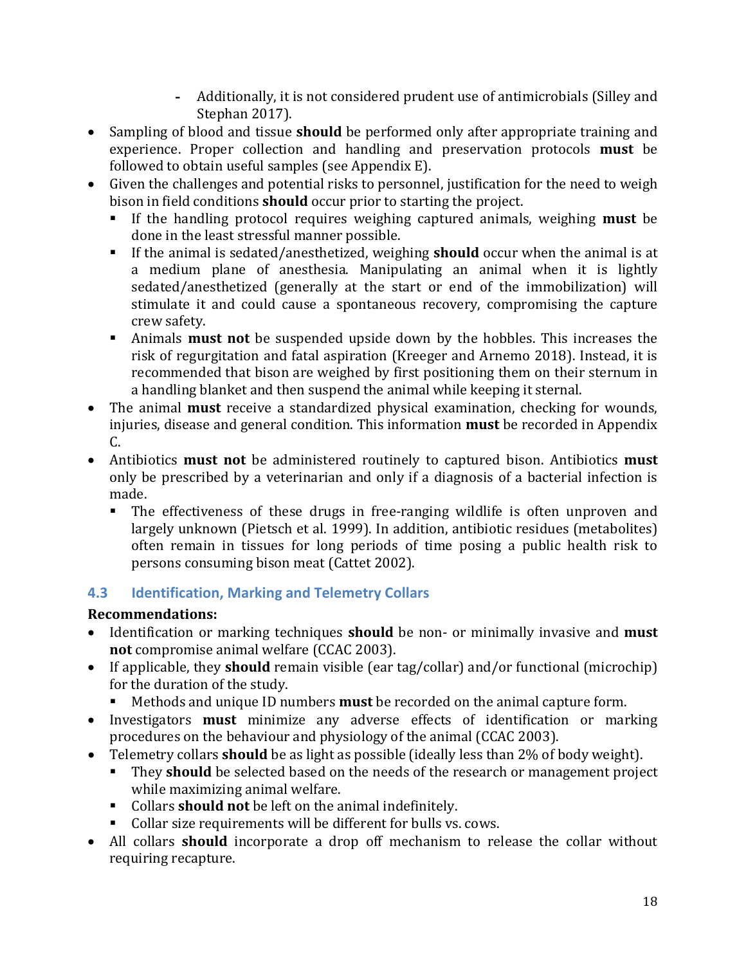- **-** Additionally, it is not considered prudent use of antimicrobials (Silley and Stephan 2017).
- Sampling of blood and tissue **should** be performed only after appropriate training and experience. Proper collection and handling and preservation protocols **must** be followed to obtain useful samples (see Appendix E).
- Given the challenges and potential risks to personnel, justification for the need to weigh bison in field conditions **should** occur prior to starting the project.
	- If the handling protocol requires weighing captured animals, weighing **must** be done in the least stressful manner possible.
	- If the animal is sedated/anesthetized, weighing **should** occur when the animal is at a medium plane of anesthesia. Manipulating an animal when it is lightly sedated/anesthetized (generally at the start or end of the immobilization) will stimulate it and could cause a spontaneous recovery, compromising the capture crew safety.
	- Animals **must not** be suspended upside down by the hobbles. This increases the risk of regurgitation and fatal aspiration (Kreeger and Arnemo 2018). Instead, it is recommended that bison are weighed by first positioning them on their sternum in a handling blanket and then suspend the animal while keeping it sternal.
- The animal **must** receive a standardized physical examination, checking for wounds, injuries, disease and general condition. This information **must** be recorded in Appendix C.
- Antibiotics **must not** be administered routinely to captured bison. Antibiotics **must** only be prescribed by a veterinarian and only if a diagnosis of a bacterial infection is made.<br>The
	- The effectiveness of these drugs in free-ranging wildlife is often unproven and largely unknown (Pietsch et al. 1999). In addition, antibiotic residues (metabolites) often remain in tissues for long periods of time posing a public health risk to persons consuming bison meat (Cattet 2002).

# <span id="page-20-0"></span>**4.3 Identification, Marking and Telemetry Collars**

- Identification or marking techniques **should** be non- or minimally invasive and **must not** compromise animal welfare (CCAC 2003).
- If applicable, they **should** remain visible (ear tag/collar) and/or functional (microchip) for the duration of the study.
	- Methods and unique ID numbers **must** be recorded on the animal capture form.
- Investigators **must** minimize any adverse effects of identification or marking procedures on the behaviour and physiology of the animal (CCAC 2003).
- Telemetry collars **should** be as light as possible (ideally less than 2% of body weight).
	- They **should** be selected based on the needs of the research or management project while maximizing animal welfare.
	- Collars **should not** be left on the animal indefinitely.
	- Collar size requirements will be different for bulls vs. cows.
- All collars **should** incorporate a drop off mechanism to release the collar without requiring recapture.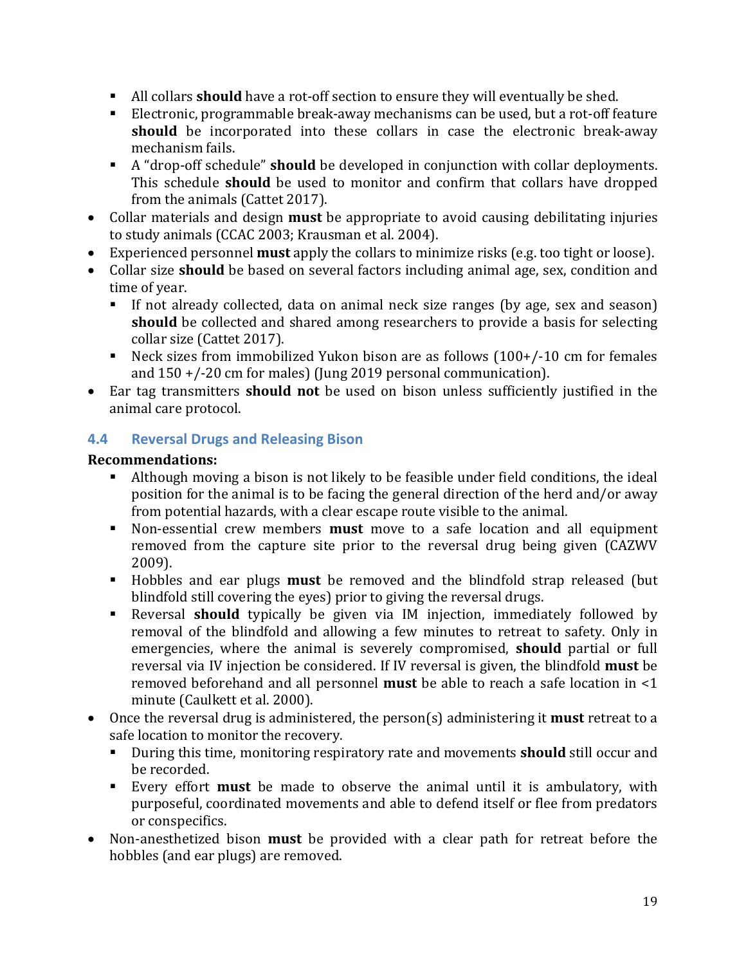- All collars **should** have a rot-off section to ensure they will eventually be shed.
- Electronic, programmable break-away mechanisms can be used, but a rot-off feature **should** be incorporated into these collars in case the electronic break-away mechanism fails.
- A "drop-off schedule" **should** be developed in conjunction with collar deployments. This schedule **should** be used to monitor and confirm that collars have dropped from the animals (Cattet 2017).
- Collar materials and design **must** be appropriate to avoid causing debilitating injuries to study animals (CCAC 2003; Krausman et al. 2004).
- Experienced personnel **must** apply the collars to minimize risks (e.g. too tight or loose).
- Collar size **should** be based on several factors including animal age, sex, condition and time of year.<br>If not alre
	- If not already collected, data on animal neck size ranges (by age, sex and season) **should** be collected and shared among researchers to provide a basis for selecting collar size (Cattet 2017).
	- Neck sizes from immobilized Yukon bison are as follows (100+/-10 cm for females and 150 +/-20 cm for males) (Jung 2019 personal communication).
- Ear tag transmitters **should not** be used on bison unless sufficiently justified in the animal care protocol.

# <span id="page-21-0"></span>**4.4 Reversal Drugs and Releasing Bison**

- Although moving a bison is not likely to be feasible under field conditions, the ideal position for the animal is to be facing the general direction of the herd and/or away from potential hazards, with a clear escape route visible to the animal.
- Non-essential crew members **must** move to a safe location and all equipment removed from the capture site prior to the reversal drug being given (CAZWV 2009).
- Hobbles and ear plugs **must** be removed and the blindfold strap released (but blindfold still covering the eyes) prior to giving the reversal drugs.
- Reversal **should** typically be given via IM injection, immediately followed by removal of the blindfold and allowing a few minutes to retreat to safety. Only in emergencies, where the animal is severely compromised, **should** partial or full reversal via IV injection be considered. If IV reversal is given, the blindfold **must** be removed beforehand and all personnel **must** be able to reach a safe location in <1 minute (Caulkett et al. 2000).
- Once the reversal drug is administered, the person(s) administering it **must** retreat to a safe location to monitor the recovery.
	- During this time, monitoring respiratory rate and movements **should** still occur and be recorded.
	- Every effort **must** be made to observe the animal until it is ambulatory, with purposeful, coordinated movements and able to defend itself or flee from predators or conspecifics.
- Non-anesthetized bison **must** be provided with a clear path for retreat before the hobbles (and ear plugs) are removed.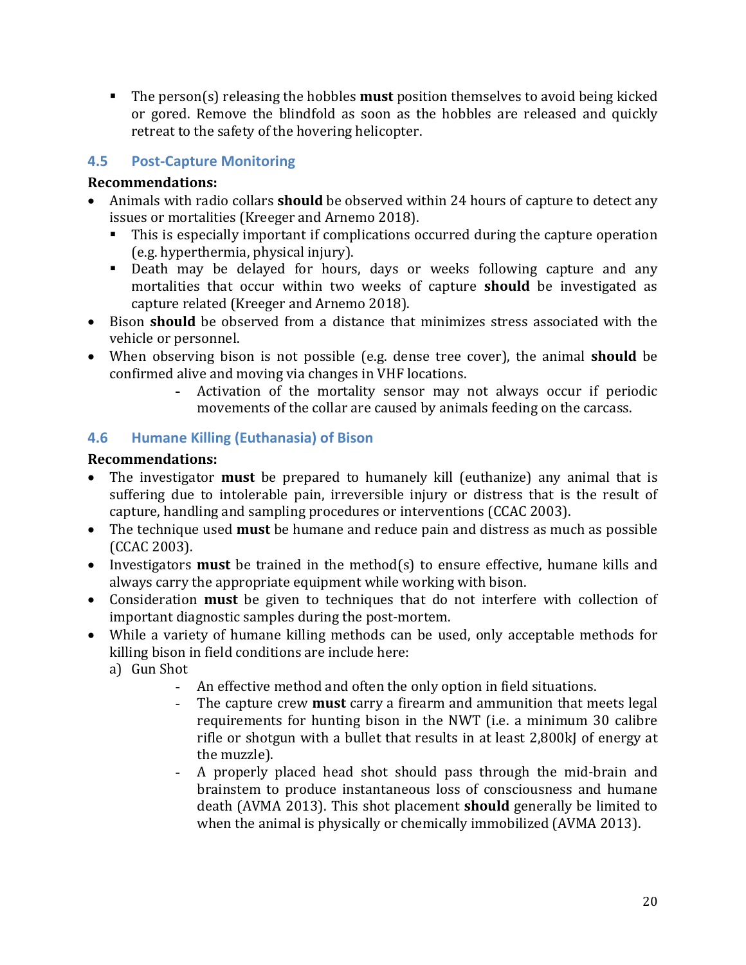The person(s) releasing the hobbles **must** position themselves to avoid being kicked or gored. Remove the blindfold as soon as the hobbles are released and quickly retreat to the safety of the hovering helicopter.

# <span id="page-22-0"></span>**4.5 Post-Capture Monitoring**

#### **Recommendations:**

- Animals with radio collars **should** be observed within 24 hours of capture to detect any issues or mortalities (Kreeger and Arnemo 2018).
	- This is especially important if complications occurred during the capture operation (e.g. hyperthermia, physical injury).
	- Death may be delayed for hours, days or weeks following capture and any mortalities that occur within two weeks of capture **should** be investigated as capture related (Kreeger and Arnemo 2018).
- Bison **should** be observed from a distance that minimizes stress associated with the vehicle or personnel.
- When observing bison is not possible (e.g. dense tree cover), the animal **should** be confirmed alive and moving via changes in VHF locations.
	- **-** Activation of the mortality sensor may not always occur if periodic movements of the collar are caused by animals feeding on the carcass.

# <span id="page-22-1"></span>**4.6 Humane Killing (Euthanasia) of Bison**

- The investigator **must** be prepared to humanely kill (euthanize) any animal that is suffering due to intolerable pain, irreversible injury or distress that is the result of capture, handling and sampling procedures or interventions (CCAC 2003).
- The technique used **must** be humane and reduce pain and distress as much as possible (CCAC 2003).
- Investigators **must** be trained in the method(s) to ensure effective, humane kills and always carry the appropriate equipment while working with bison.
- Consideration **must** be given to techniques that do not interfere with collection of important diagnostic samples during the post-mortem.
- While a variety of humane killing methods can be used, only acceptable methods for killing bison in field conditions are include here:
	- a) Gun Shot
		- An effective method and often the only option in field situations.<br>- The capture crew **must** carry a firearm and ammunition that m
		- The capture crew **must** carry a firearm and ammunition that meets legal requirements for hunting bison in the NWT (i.e. a minimum 30 calibre rifle or shotgun with a bullet that results in at least 2,800kJ of energy at the muzzle).
		- A properly placed head shot should pass through the mid-brain and brainstem to produce instantaneous loss of consciousness and humane death (AVMA 2013). This shot placement **should** generally be limited to when the animal is physically or chemically immobilized (AVMA 2013).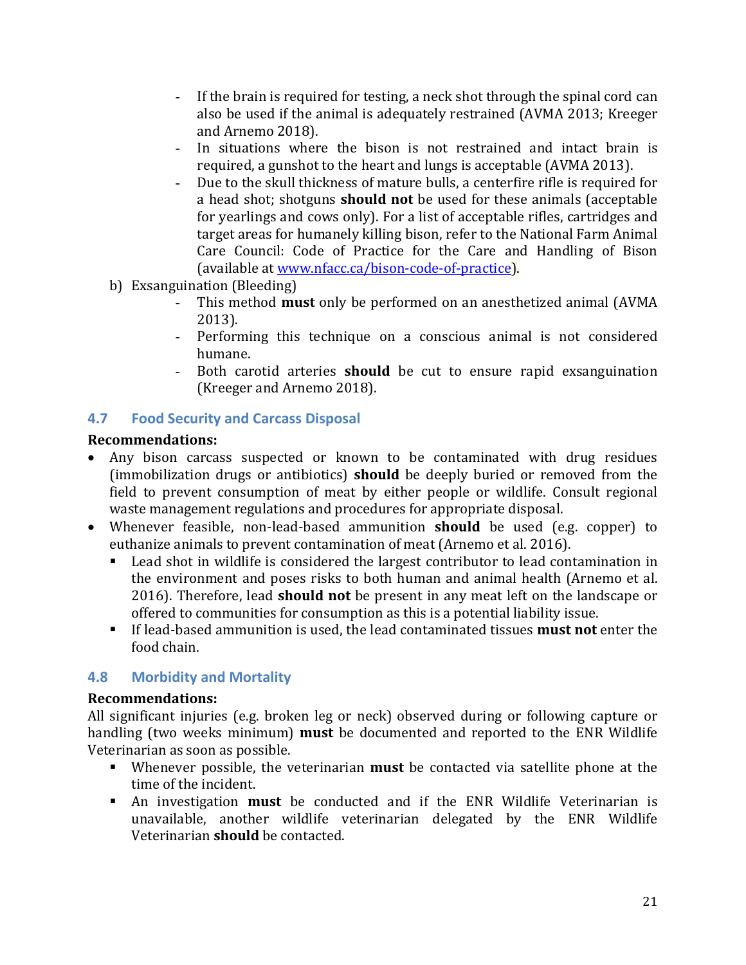- If the brain is required for testing, a neck shot through the spinal cord can also be used if the animal is adequately restrained (AVMA 2013; Kreeger and Arnemo 2018).
- In situations where the bison is not restrained and intact brain is required, a gunshot to the heart and lungs is acceptable (AVMA 2013).
- Due to the skull thickness of mature bulls, a centerfire rifle is required for a head shot; shotguns **should not** be used for these animals (acceptable for yearlings and cows only). For a list of acceptable rifles, cartridges and target areas for humanely killing bison, refer to the National Farm Animal Care Council: Code of Practice for the Care and Handling of Bison (available a[t www.nfacc.ca/bison-code-of-practice\)](http://www.nfacc.ca/bison-code-of-practice).
- b) Exsanguination (Bleeding)<br>This method **mu** 
	- This method **must** only be performed on an anesthetized animal (AVMA 2013).
	- Performing this technique on a conscious animal is not considered humane.
	- Both carotid arteries **should** be cut to ensure rapid exsanguination (Kreeger and Arnemo 2018).

# <span id="page-23-0"></span>**4.7 Food Security and Carcass Disposal**

#### **Recommendations:**

- Any bison carcass suspected or known to be contaminated with drug residues (immobilization drugs or antibiotics) **should** be deeply buried or removed from the field to prevent consumption of meat by either people or wildlife. Consult regional waste management regulations and procedures for appropriate disposal.
- Whenever feasible, non-lead-based ammunition **should** be used (e.g. copper) to euthanize animals to prevent contamination of meat (Arnemo et al. 2016).<br>Lead shot in wildlife is considered the largest contributor to lead contributor
	- Lead shot in wildlife is considered the largest contributor to lead contamination in the environment and poses risks to both human and animal health (Arnemo et al. 2016). Therefore, lead **should not** be present in any meat left on the landscape or offered to communities for consumption as this is a potential liability issue.
	- If lead-based ammunition is used, the lead contaminated tissues **must not** enter the food chain.

# <span id="page-23-1"></span>**4.8 Morbidity and Mortality**

#### **Recommendations:**

All significant injuries (e.g. broken leg or neck) observed during or following capture or handling (two weeks minimum) **must** be documented and reported to the ENR Wildlife Veterinarian as soon as possible.

- Whenever possible, the veterinarian **must** be contacted via satellite phone at the time of the incident.
- An investigation **must** be conducted and if the ENR Wildlife Veterinarian is unavailable, another wildlife veterinarian delegated by the ENR Wildlife Veterinarian **should** be contacted.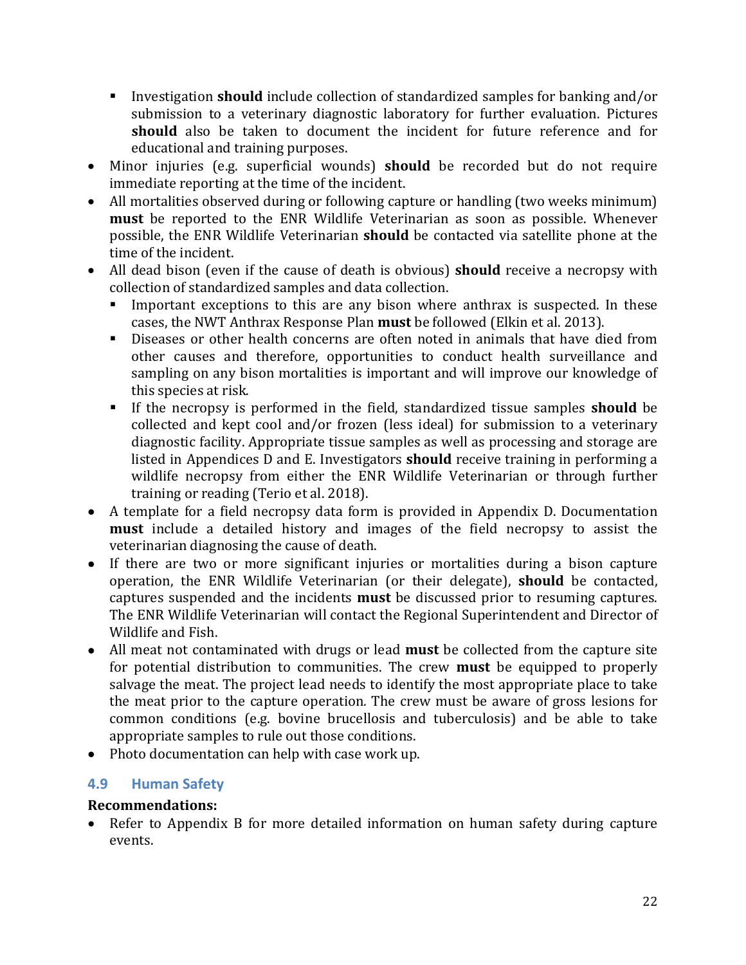- Investigation **should** include collection of standardized samples for banking and/or submission to a veterinary diagnostic laboratory for further evaluation. Pictures **should** also be taken to document the incident for future reference and for educational and training purposes.
- Minor injuries (e.g. superficial wounds) **should** be recorded but do not require immediate reporting at the time of the incident.
- All mortalities observed during or following capture or handling (two weeks minimum) **must** be reported to the ENR Wildlife Veterinarian as soon as possible. Whenever possible, the ENR Wildlife Veterinarian **should** be contacted via satellite phone at the time of the incident.
- All dead bison (even if the cause of death is obvious) **should** receive a necropsy with collection of standardized samples and data collection.<br>Innortant exceptions to this are any bison where
	- Important exceptions to this are any bison where anthrax is suspected. In these cases, the NWT Anthrax Response Plan **must** be followed (Elkin et al. 2013).
	- Diseases or other health concerns are often noted in animals that have died from other causes and therefore, opportunities to conduct health surveillance and sampling on any bison mortalities is important and will improve our knowledge of this species at risk.
	- If the necropsy is performed in the field, standardized tissue samples **should** be collected and kept cool and/or frozen (less ideal) for submission to a veterinary diagnostic facility. Appropriate tissue samples as well as processing and storage are listed in Appendices D and E. Investigators **should** receive training in performing a wildlife necropsy from either the ENR Wildlife Veterinarian or through further training or reading (Terio et al. 2018).
- A template for a field necropsy data form is provided in Appendix D. Documentation **must** include a detailed history and images of the field necropsy to assist the veterinarian diagnosing the cause of death.
- If there are two or more significant injuries or mortalities during a bison capture operation, the ENR Wildlife Veterinarian (or their delegate), **should** be contacted, captures suspended and the incidents **must** be discussed prior to resuming captures. The ENR Wildlife Veterinarian will contact the Regional Superintendent and Director of Wildlife and Fish.
- All meat not contaminated with drugs or lead **must** be collected from the capture site for potential distribution to communities. The crew **must** be equipped to properly salvage the meat. The project lead needs to identify the most appropriate place to take the meat prior to the capture operation*.* The crew must be aware of gross lesions for common conditions (e.g. bovine brucellosis and tuberculosis) and be able to take appropriate samples to rule out those conditions.
- Photo documentation can help with case work up.

# <span id="page-24-0"></span>**4.9 Human Safety**

#### **Recommendations:**

• Refer to Appendix B for more detailed information on human safety during capture events.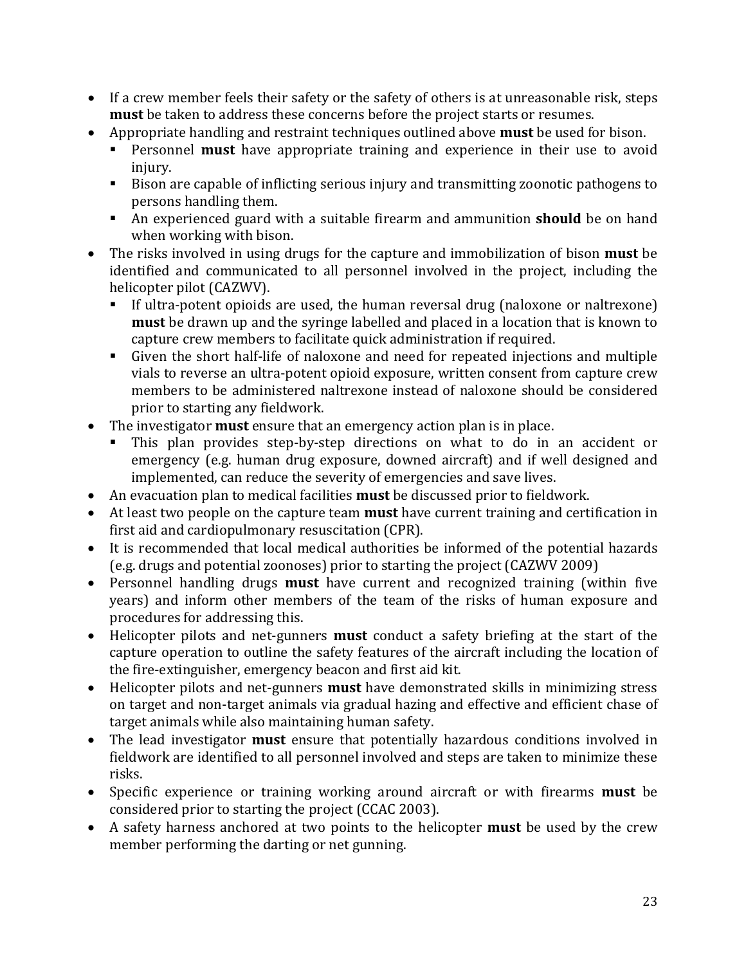- If a crew member feels their safety or the safety of others is at unreasonable risk, steps **must** be taken to address these concerns before the project starts or resumes.
- Appropriate handling and restraint techniques outlined above **must** be used for bison.<br>• Personnel **must** have appropriate training and experience in their use to avoi
	- Personnel **must** have appropriate training and experience in their use to avoid injury.
	- Bison are capable of inflicting serious injury and transmitting zoonotic pathogens to persons handling them.
	- An experienced guard with a suitable firearm and ammunition **should** be on hand when working with bison.
- The risks involved in using drugs for the capture and immobilization of bison **must** be identified and communicated to all personnel involved in the project, including the helicopter pilot (CAZWV).<br>• If ultra-notent opioids
	- If ultra-potent opioids are used, the human reversal drug (naloxone or naltrexone) **must** be drawn up and the syringe labelled and placed in a location that is known to capture crew members to facilitate quick administration if required.
	- Given the short half-life of naloxone and need for repeated injections and multiple vials to reverse an ultra-potent opioid exposure, written consent from capture crew members to be administered naltrexone instead of naloxone should be considered prior to starting any fieldwork.
- The investigator **must** ensure that an emergency action plan is in place.
	- This plan provides step-by-step directions on what to do in an accident or emergency (e.g. human drug exposure, downed aircraft) and if well designed and implemented, can reduce the severity of emergencies and save lives.
- An evacuation plan to medical facilities **must** be discussed prior to fieldwork.
- At least two people on the capture team **must** have current training and certification in first aid and cardiopulmonary resuscitation (CPR).
- It is recommended that local medical authorities be informed of the potential hazards (e.g. drugs and potential zoonoses) prior to starting the project (CAZWV 2009)
- Personnel handling drugs **must** have current and recognized training (within five years) and inform other members of the team of the risks of human exposure and procedures for addressing this.
- Helicopter pilots and net-gunners **must** conduct a safety briefing at the start of the capture operation to outline the safety features of the aircraft including the location of the fire-extinguisher, emergency beacon and first aid kit.
- Helicopter pilots and net-gunners **must** have demonstrated skills in minimizing stress on target and non-target animals via gradual hazing and effective and efficient chase of target animals while also maintaining human safety.
- The lead investigator **must** ensure that potentially hazardous conditions involved in fieldwork are identified to all personnel involved and steps are taken to minimize these risks.
- Specific experience or training working around aircraft or with firearms **must** be considered prior to starting the project (CCAC 2003).
- A safety harness anchored at two points to the helicopter **must** be used by the crew member performing the darting or net gunning.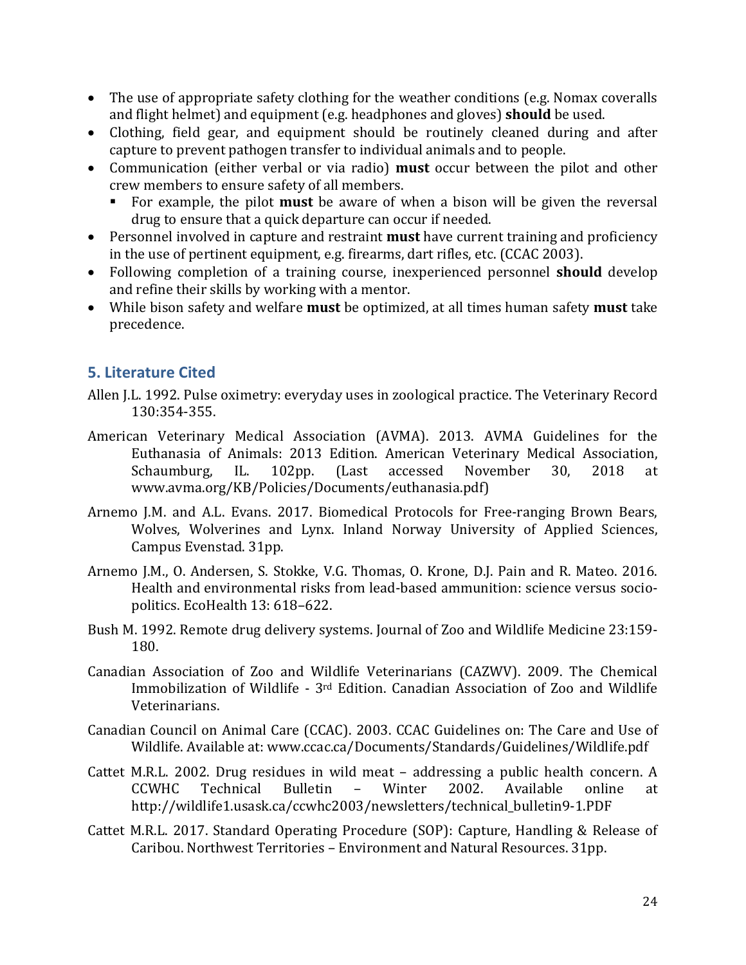- The use of appropriate safety clothing for the weather conditions (e.g. Nomax coveralls and flight helmet) and equipment (e.g. headphones and gloves) **should** be used.
- Clothing, field gear, and equipment should be routinely cleaned during and after capture to prevent pathogen transfer to individual animals and to people.
- Communication (either verbal or via radio) **must** occur between the pilot and other crew members to ensure safety of all members.
	- For example, the pilot **must** be aware of when a bison will be given the reversal drug to ensure that a quick departure can occur if needed.
- Personnel involved in capture and restraint **must** have current training and proficiency in the use of pertinent equipment, e.g. firearms, dart rifles, etc. (CCAC 2003).
- Following completion of a training course, inexperienced personnel **should** develop and refine their skills by working with a mentor.
- While bison safety and welfare **must** be optimized, at all times human safety **must** take precedence.

# <span id="page-26-0"></span>**5. Literature Cited**

- Allen J.L. 1992. Pulse oximetry: everyday uses in zoological practice. The Veterinary Record 130:354-355.
- American Veterinary Medical Association (AVMA). 2013. AVMA Guidelines for the Euthanasia of Animals: 2013 Edition. American Veterinary Medical Association, Schaumburg, IL. 102pp. (Last accessed November 30, 2018 at www.avma.org/KB/Policies/Documents/euthanasia.pdf)
- Arnemo J.M. and A.L. Evans. 2017. Biomedical Protocols for Free-ranging Brown Bears, Wolves, Wolverines and Lynx. Inland Norway University of Applied Sciences, Campus Evenstad. 31pp.
- Arnemo J.M., O. Andersen, S. Stokke, V.G. Thomas, O. Krone, D.J. Pain and R. Mateo. 2016. Health and environmental risks from lead-based ammunition: science versus sociopolitics. EcoHealth 13: 618–622.
- Bush M. 1992. Remote drug delivery systems. Journal of Zoo and Wildlife Medicine 23:159- 180.
- Canadian Association of Zoo and Wildlife Veterinarians (CAZWV). 2009. The Chemical Immobilization of Wildlife - 3rd Edition. Canadian Association of Zoo and Wildlife Veterinarians.
- Canadian Council on Animal Care (CCAC). 2003. CCAC Guidelines on: The Care and Use of Wildlife. Available at: www.ccac.ca/Documents/Standards/Guidelines/Wildlife.pdf
- Cattet M.R.L. 2002. Drug residues in wild meat addressing a public health concern. A<br>CCWHC Technical Bulletin Winter 2002. Available online at CCWHC Technical Bulletin – Winter 2002. Available online at http://wildlife1.usask.ca/ccwhc2003/newsletters/technical\_bulletin9-1.PDF
- Cattet M.R.L. 2017. Standard Operating Procedure (SOP): Capture, Handling & Release of Caribou. Northwest Territories – Environment and Natural Resources. 31pp.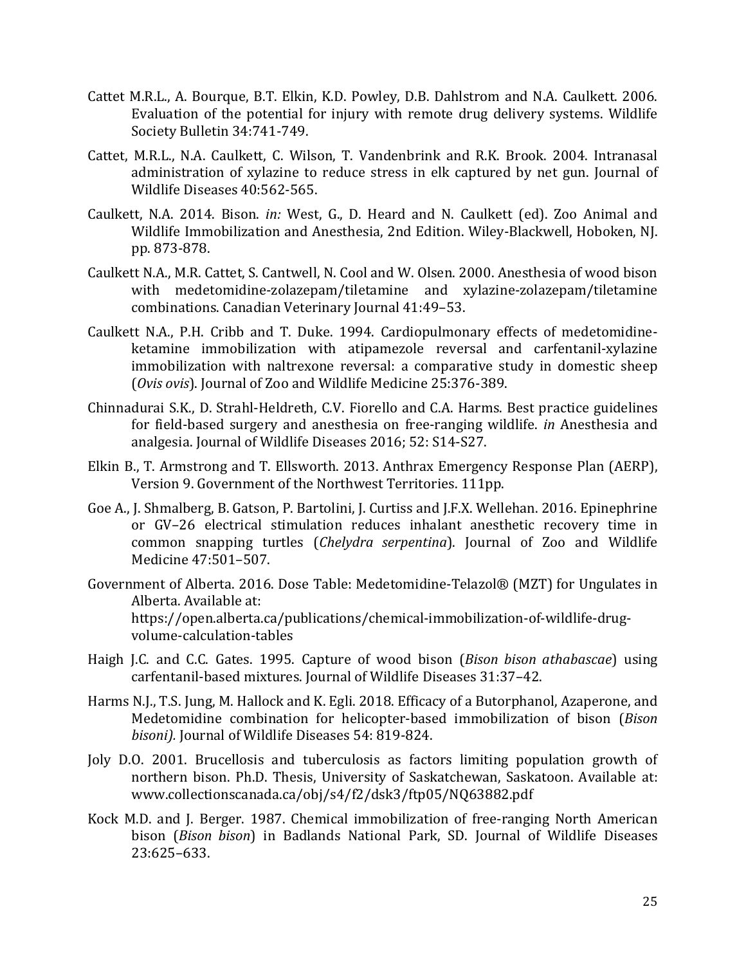- Cattet M.R.L., A. Bourque, B.T. Elkin, K.D. Powley, D.B. Dahlstrom and N.A. Caulkett. 2006. Evaluation of the potential for injury with remote drug delivery systems. Wildlife Society Bulletin 34:741-749.
- Cattet, M.R.L., N.A. Caulkett, C. Wilson, T. Vandenbrink and R.K. Brook. 2004. Intranasal administration of xylazine to reduce stress in elk captured by net gun. Journal of Wildlife Diseases 40:562-565.
- Caulkett, N.A. 2014. Bison. *in:* West, G., D. Heard and N. Caulkett (ed). Zoo Animal and Wildlife Immobilization and Anesthesia, 2nd Edition. Wiley-Blackwell, Hoboken, NJ. pp. 873-878.
- Caulkett N.A., M.R. Cattet, S. Cantwell, N. Cool and W. Olsen. 2000. Anesthesia of wood bison with medetomidine-zolazepam/tiletamine and xylazine-zolazepam/tiletamine combinations. Canadian Veterinary Journal 41:49–53.
- Caulkett N.A., P.H. Cribb and T. Duke. 1994. Cardiopulmonary effects of medetomidineketamine immobilization with atipamezole reversal and carfentanil-xylazine immobilization with naltrexone reversal: a comparative study in domestic sheep (*Ovis ovis*). Journal of Zoo and Wildlife Medicine 25:376-389.
- Chinnadurai S.K., D. Strahl-Heldreth, C.V. Fiorello and C.A. Harms. Best practice guidelines for field-based surgery and anesthesia on free-ranging wildlife. *in* Anesthesia and analgesia. Journal of Wildlife Diseases 2016; 52: S14-S27.
- Elkin B., T. Armstrong and T. Ellsworth. 2013. Anthrax Emergency Response Plan (AERP), Version 9. Government of the Northwest Territories. 111pp.
- Goe A., J. Shmalberg, B. Gatson, P. Bartolini, J. Curtiss and J.F.X. Wellehan. 2016. Epinephrine or GV–26 electrical stimulation reduces inhalant anesthetic recovery time in common snapping turtles (*Chelydra serpentina*). Journal of Zoo and Wildlife Medicine 47:501–507.
- Government of Alberta. 2016. Dose Table: Medetomidine-Telazol® (MZT) for Ungulates in Alberta. Available at: https://open.alberta.ca/publications/chemical-immobilization-of-wildlife-drugvolume-calculation-tables
- Haigh J.C. and C.C. Gates. 1995. Capture of wood bison (*Bison bison athabascae*) using carfentanil-based mixtures. Journal of Wildlife Diseases 31:37–42.
- Harms N.J., T.S. Jung, M. Hallock and K. Egli. 2018. Efficacy of a Butorphanol, Azaperone, and Medetomidine combination for helicopter-based immobilization of bison (*Bison bisoni).* Journal of Wildlife Diseases 54: 819-824.
- Joly D.O. 2001. Brucellosis and tuberculosis as factors limiting population growth of northern bison. Ph.D. Thesis, University of Saskatchewan, Saskatoon. Available at: www.collectionscanada.ca/obj/s4/f2/dsk3/ftp05/NQ63882.pdf
- Kock M.D. and J. Berger. 1987. Chemical immobilization of free-ranging North American bison (*Bison bison*) in Badlands National Park, SD. Journal of Wildlife Diseases 23:625–633.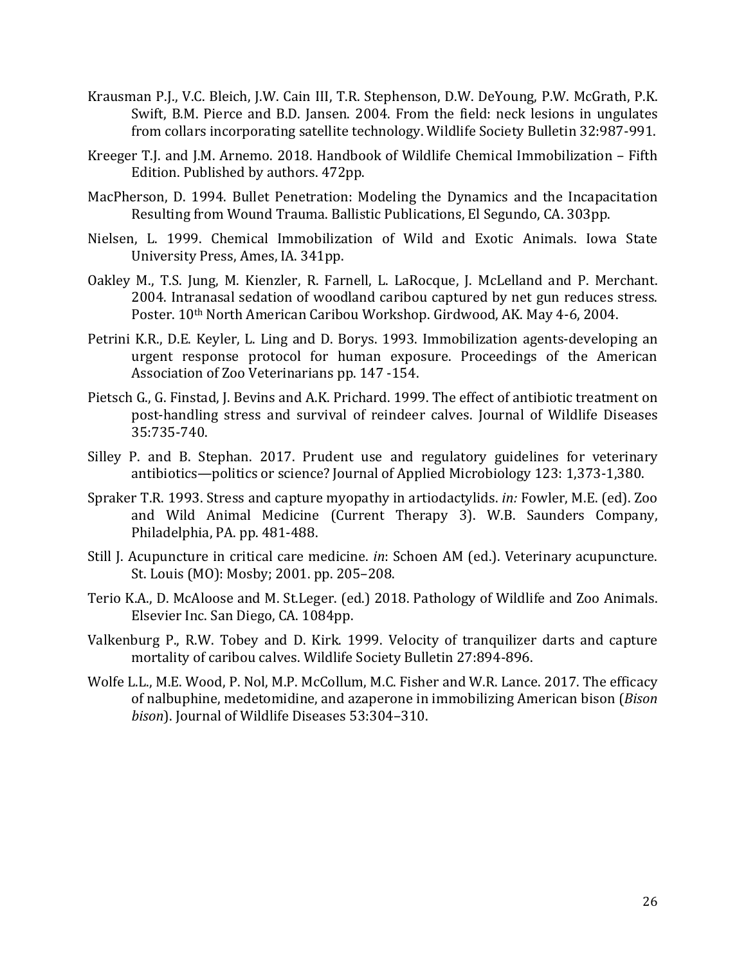- Krausman P.J., V.C. Bleich, J.W. Cain III, T.R. Stephenson, D.W. DeYoung, P.W. McGrath, P.K. Swift, B.M. Pierce and B.D. Jansen. 2004. From the field: neck lesions in ungulates from collars incorporating satellite technology. Wildlife Society Bulletin 32:987-991.
- Kreeger T.J. and J.M. Arnemo. 2018. Handbook of Wildlife Chemical Immobilization Fifth Edition. Published by authors. 472pp.
- MacPherson, D. 1994. Bullet Penetration: Modeling the Dynamics and the Incapacitation Resulting from Wound Trauma. Ballistic Publications, El Segundo, CA. 303pp.
- Nielsen, L. 1999. Chemical Immobilization of Wild and Exotic Animals. Iowa State University Press, Ames, IA. 341pp.
- Oakley M., T.S. Jung, M. Kienzler, R. Farnell, L. LaRocque, J. McLelland and P. Merchant. 2004. Intranasal sedation of woodland caribou captured by net gun reduces stress. Poster. 10th North American Caribou Workshop. Girdwood, AK. May 4-6, 2004.
- Petrini K.R., D.E. Keyler, L. Ling and D. Borys. 1993. Immobilization agents-developing an urgent response protocol for human exposure. Proceedings of the American Association of Zoo Veterinarians pp. 147 -154.
- Pietsch G., G. Finstad, J. Bevins and A.K. Prichard. 1999. The effect of antibiotic treatment on post-handling stress and survival of reindeer calves. Journal of Wildlife Diseases 35:735-740.
- Silley P. and B. Stephan. 2017. Prudent use and regulatory guidelines for veterinary antibiotics—politics or science? Journal of Applied Microbiology 123: 1,373-1,380.
- Spraker T.R. 1993. Stress and capture myopathy in artiodactylids. *in:* Fowler, M.E. (ed). Zoo and Wild Animal Medicine (Current Therapy 3). W.B. Saunders Company, Philadelphia, PA. pp. 481-488.
- Still J. Acupuncture in critical care medicine. *in*: Schoen AM (ed.). Veterinary acupuncture. St. Louis (MO): Mosby; 2001. pp. 205–208.
- Terio K.A., D. McAloose and M. St.Leger. (ed.) 2018. Pathology of Wildlife and Zoo Animals. Elsevier Inc. San Diego, CA. 1084pp.
- Valkenburg P., R.W. Tobey and D. Kirk. 1999. Velocity of tranquilizer darts and capture mortality of caribou calves. Wildlife Society Bulletin 27:894-896.
- Wolfe L.L., M.E. Wood, P. Nol, M.P. McCollum, M.C. Fisher and W.R. Lance. 2017. The efficacy of nalbuphine, medetomidine, and azaperone in immobilizing American bison (*Bison bison*). Journal of Wildlife Diseases 53:304–310.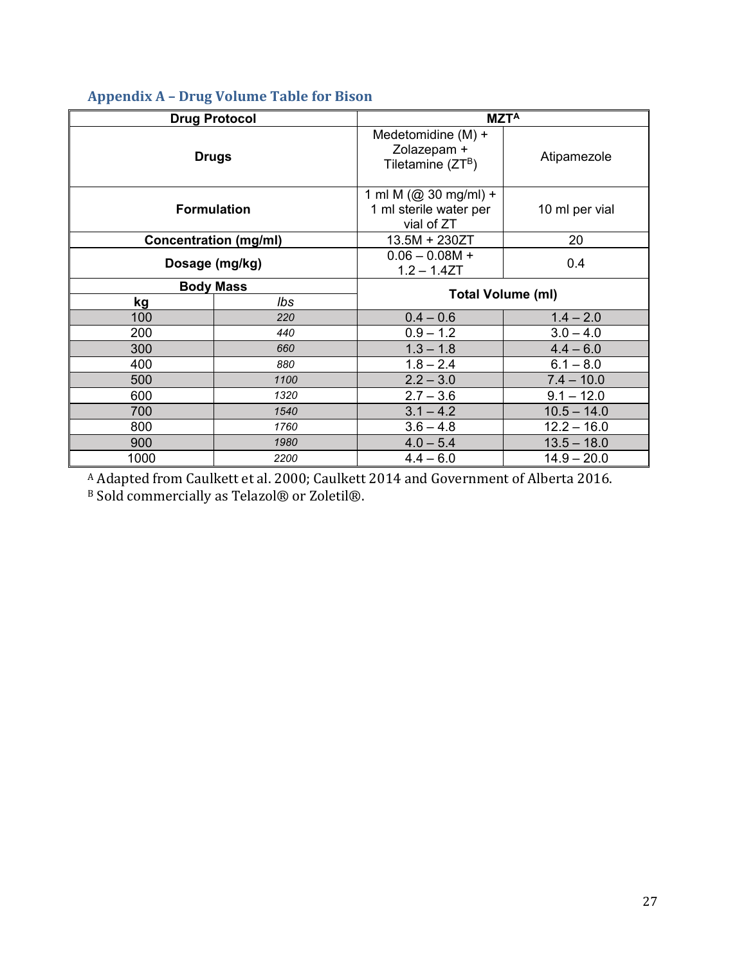|                              |                  | $MZT^A$                                                                         |               |  |  |
|------------------------------|------------------|---------------------------------------------------------------------------------|---------------|--|--|
| <b>Drug Protocol</b>         |                  |                                                                                 |               |  |  |
| <b>Drugs</b>                 |                  | Medetomidine (M) +<br>Zolazepam +<br>Tiletamine $(ZT^B)$                        | Atipamezole   |  |  |
| <b>Formulation</b>           |                  | 1 ml M (@ 30 mg/ml) +<br>1 ml sterile water per<br>10 ml per vial<br>vial of ZT |               |  |  |
| <b>Concentration (mg/ml)</b> |                  | $13.5M + 230ZT$                                                                 | 20            |  |  |
|                              | Dosage (mg/kg)   | $0.06 - 0.08M +$<br>0.4<br>$1.2 - 1.4ZT$                                        |               |  |  |
|                              | <b>Body Mass</b> |                                                                                 |               |  |  |
| kg                           | lbs              | <b>Total Volume (ml)</b>                                                        |               |  |  |
| 100                          | 220              | $0.4 - 0.6$                                                                     | $1.4 - 2.0$   |  |  |
| 200                          | 440              | $0.9 - 1.2$                                                                     | $3.0 - 4.0$   |  |  |
| 300                          | 660              | $1.3 - 1.8$                                                                     | $4.4 - 6.0$   |  |  |
| 400                          | 880              | $1.8 - 2.4$                                                                     | $6.1 - 8.0$   |  |  |
| 500                          | 1100             | $2.2 - 3.0$                                                                     | $7.4 - 10.0$  |  |  |
| 600                          | 1320             | $2.7 - 3.6$                                                                     | $9.1 - 12.0$  |  |  |
| 700                          | 1540             | $3.1 - 4.2$                                                                     | $10.5 - 14.0$ |  |  |
| 800                          | 1760             | $3.6 - 4.8$                                                                     | $12.2 - 16.0$ |  |  |
| 900                          | 1980             | $4.0 - 5.4$                                                                     | $13.5 - 18.0$ |  |  |
| 1000                         | 2200             | $4.4 - 6.0$                                                                     | $14.9 - 20.0$ |  |  |

# <span id="page-29-0"></span>**Appendix A – Drug Volume Table for Bison**

<sup>A</sup> Adapted from Caulkett et al. 2000; Caulkett 2014 and Government of Alberta 2016. B Sold commercially as Telazol® or Zoletil®.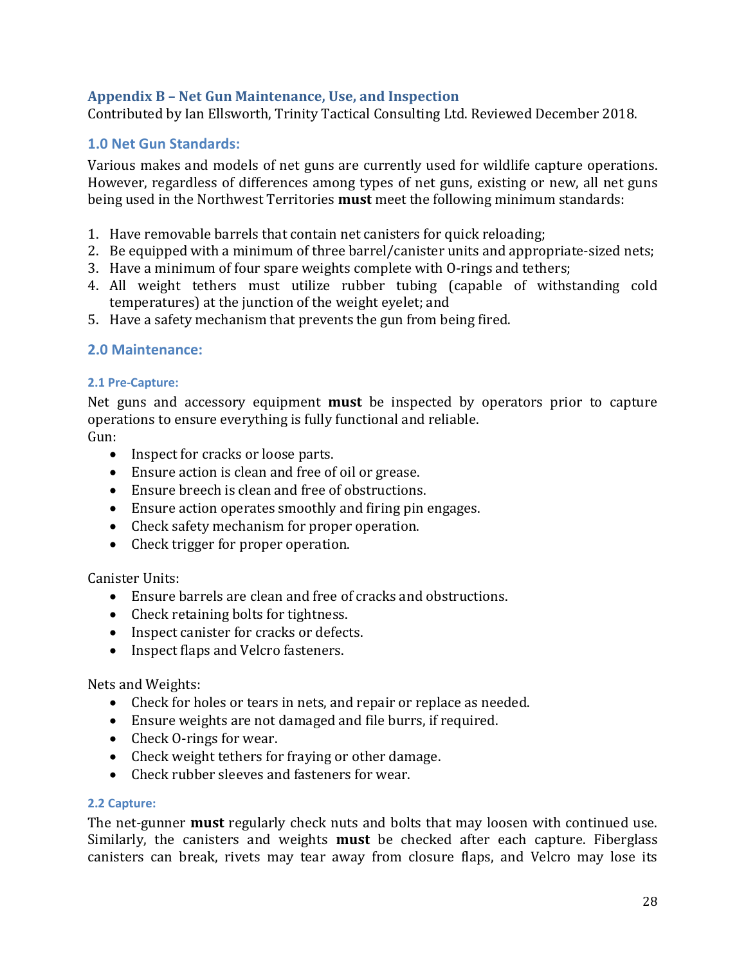#### <span id="page-30-0"></span>**Appendix B – Net Gun Maintenance, Use, and Inspection**

Contributed by Ian Ellsworth, Trinity Tactical Consulting Ltd. Reviewed December 2018.

#### **1.0 Net Gun Standards:**

Various makes and models of net guns are currently used for wildlife capture operations. However, regardless of differences among types of net guns, existing or new, all net guns being used in the Northwest Territories **must** meet the following minimum standards:

- 1. Have removable barrels that contain net canisters for quick reloading;
- 2. Be equipped with a minimum of three barrel/canister units and appropriate-sized nets;
- 3. Have a minimum of four spare weights complete with O-rings and tethers;
- 4. All weight tethers must utilize rubber tubing (capable of withstanding cold temperatures) at the junction of the weight eyelet; and
- 5. Have a safety mechanism that prevents the gun from being fired.

#### **2.0 Maintenance:**

#### **2.1 Pre-Capture:**

Net guns and accessory equipment **must** be inspected by operators prior to capture operations to ensure everything is fully functional and reliable.

Gun:

- Inspect for cracks or loose parts.
- Ensure action is clean and free of oil or grease.
- Ensure breech is clean and free of obstructions.
- Ensure action operates smoothly and firing pin engages.
- Check safety mechanism for proper operation.
- Check trigger for proper operation.

#### Canister Units:

- Ensure barrels are clean and free of cracks and obstructions.
- Check retaining bolts for tightness.
- Inspect canister for cracks or defects.
- Inspect flaps and Velcro fasteners.

#### Nets and Weights:

- Check for holes or tears in nets, and repair or replace as needed.
- Ensure weights are not damaged and file burrs, if required.
- Check O-rings for wear.
- Check weight tethers for fraying or other damage.
- Check rubber sleeves and fasteners for wear.

#### **2.2 Capture:**

The net-gunner **must** regularly check nuts and bolts that may loosen with continued use. Similarly, the canisters and weights **must** be checked after each capture. Fiberglass canisters can break, rivets may tear away from closure flaps, and Velcro may lose its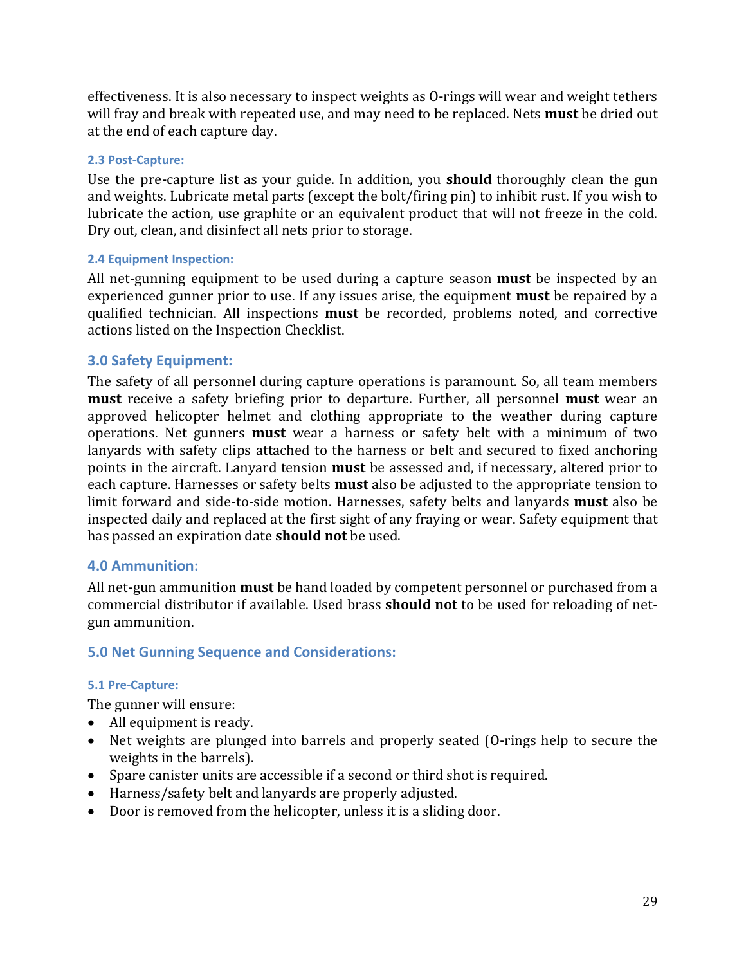effectiveness. It is also necessary to inspect weights as O-rings will wear and weight tethers will fray and break with repeated use, and may need to be replaced. Nets **must** be dried out at the end of each capture day.

#### **2.3 Post-Capture:**

Use the pre-capture list as your guide. In addition, you **should** thoroughly clean the gun and weights. Lubricate metal parts (except the bolt/firing pin) to inhibit rust. If you wish to lubricate the action, use graphite or an equivalent product that will not freeze in the cold. Dry out, clean, and disinfect all nets prior to storage.

#### **2.4 Equipment Inspection:**

All net-gunning equipment to be used during a capture season **must** be inspected by an experienced gunner prior to use. If any issues arise, the equipment **must** be repaired by a qualified technician. All inspections **must** be recorded, problems noted, and corrective actions listed on the Inspection Checklist.

#### **3.0 Safety Equipment:**

The safety of all personnel during capture operations is paramount. So, all team members **must** receive a safety briefing prior to departure. Further, all personnel **must** wear an approved helicopter helmet and clothing appropriate to the weather during capture operations. Net gunners **must** wear a harness or safety belt with a minimum of two lanyards with safety clips attached to the harness or belt and secured to fixed anchoring points in the aircraft. Lanyard tension **must** be assessed and, if necessary, altered prior to each capture. Harnesses or safety belts **must** also be adjusted to the appropriate tension to limit forward and side-to-side motion. Harnesses, safety belts and lanyards **must** also be inspected daily and replaced at the first sight of any fraying or wear. Safety equipment that has passed an expiration date **should not** be used.

#### **4.0 Ammunition:**

All net-gun ammunition **must** be hand loaded by competent personnel or purchased from a commercial distributor if available. Used brass **should not** to be used for reloading of netgun ammunition.

#### **5.0 Net Gunning Sequence and Considerations:**

#### **5.1 Pre-Capture:**

The gunner will ensure:

- All equipment is ready.
- Net weights are plunged into barrels and properly seated (O-rings help to secure the weights in the barrels).
- Spare canister units are accessible if a second or third shot is required.
- Harness/safety belt and lanyards are properly adjusted.
- Door is removed from the helicopter, unless it is a sliding door.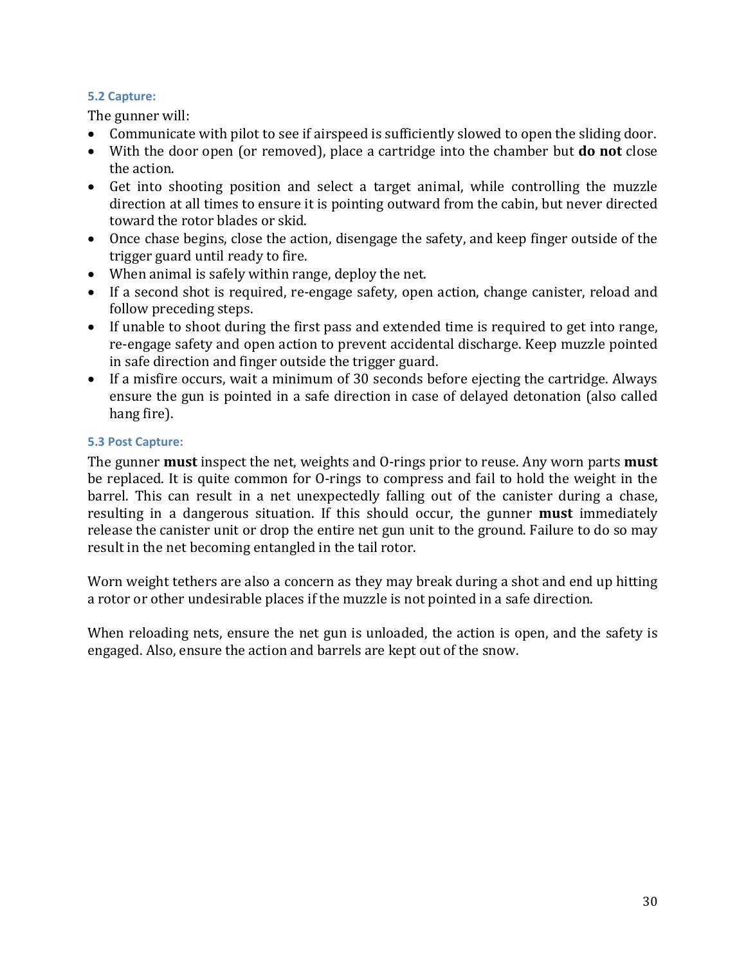#### **5.2 Capture:**

The gunner will:

- Communicate with pilot to see if airspeed is sufficiently slowed to open the sliding door.
- With the door open (or removed), place a cartridge into the chamber but **do not** close the action.
- Get into shooting position and select a target animal, while controlling the muzzle direction at all times to ensure it is pointing outward from the cabin, but never directed toward the rotor blades or skid.
- Once chase begins, close the action, disengage the safety, and keep finger outside of the trigger guard until ready to fire.
- When animal is safely within range, deploy the net.
- If a second shot is required, re-engage safety, open action, change canister, reload and follow preceding steps.
- If unable to shoot during the first pass and extended time is required to get into range, re-engage safety and open action to prevent accidental discharge. Keep muzzle pointed in safe direction and finger outside the trigger guard.
- If a misfire occurs, wait a minimum of 30 seconds before ejecting the cartridge. Always ensure the gun is pointed in a safe direction in case of delayed detonation (also called hang fire).

#### **5.3 Post Capture:**

The gunner **must** inspect the net, weights and O-rings prior to reuse. Any worn parts **must** be replaced. It is quite common for O-rings to compress and fail to hold the weight in the barrel. This can result in a net unexpectedly falling out of the canister during a chase, resulting in a dangerous situation. If this should occur, the gunner **must** immediately release the canister unit or drop the entire net gun unit to the ground. Failure to do so may result in the net becoming entangled in the tail rotor.

Worn weight tethers are also a concern as they may break during a shot and end up hitting a rotor or other undesirable places if the muzzle is not pointed in a safe direction.

When reloading nets, ensure the net gun is unloaded, the action is open, and the safety is engaged. Also, ensure the action and barrels are kept out of the snow.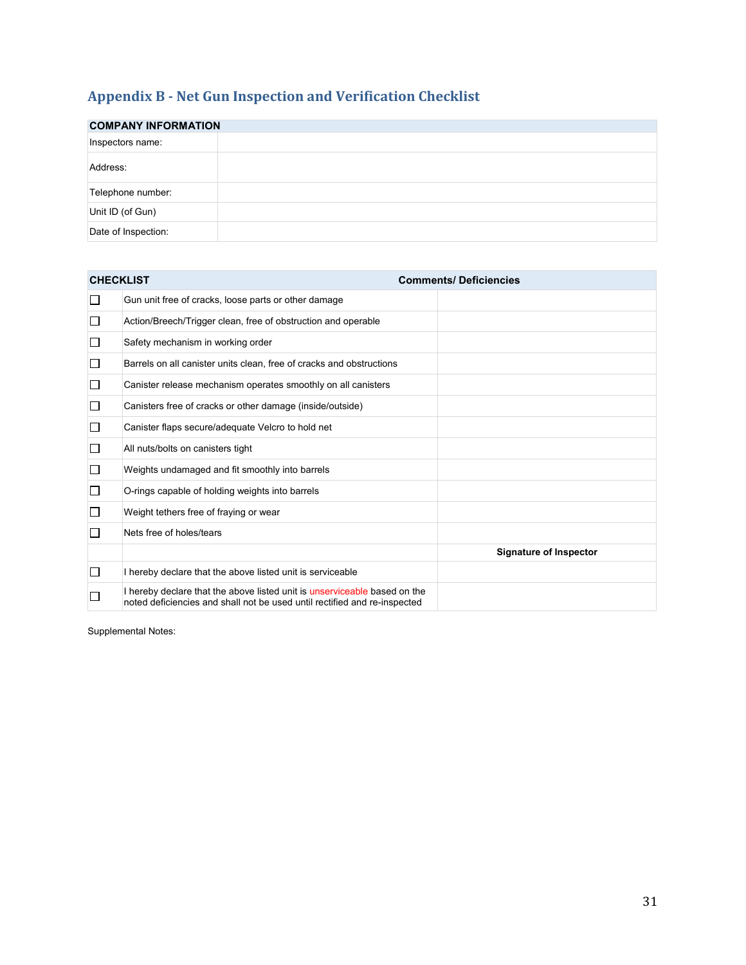# <span id="page-33-0"></span>**Appendix B - Net Gun Inspection and Verification Checklist**

| <b>COMPANY INFORMATION</b> |  |  |  |  |  |  |  |
|----------------------------|--|--|--|--|--|--|--|
| Inspectors name:           |  |  |  |  |  |  |  |
| Address:                   |  |  |  |  |  |  |  |
| Telephone number:          |  |  |  |  |  |  |  |
| Unit ID (of Gun)           |  |  |  |  |  |  |  |
| Date of Inspection:        |  |  |  |  |  |  |  |

| <b>CHECKLIST</b> |                                                                                                                                                        | <b>Comments/Deficiencies</b>  |
|------------------|--------------------------------------------------------------------------------------------------------------------------------------------------------|-------------------------------|
| ப                | Gun unit free of cracks, loose parts or other damage                                                                                                   |                               |
| $\Box$           | Action/Breech/Trigger clean, free of obstruction and operable                                                                                          |                               |
| $\Box$           | Safety mechanism in working order                                                                                                                      |                               |
| □                | Barrels on all canister units clean, free of cracks and obstructions                                                                                   |                               |
| □                | Canister release mechanism operates smoothly on all canisters                                                                                          |                               |
| □                | Canisters free of cracks or other damage (inside/outside)                                                                                              |                               |
| $\Box$           | Canister flaps secure/adequate Velcro to hold net                                                                                                      |                               |
| □                | All nuts/bolts on canisters tight                                                                                                                      |                               |
| □                | Weights undamaged and fit smoothly into barrels                                                                                                        |                               |
| □                | O-rings capable of holding weights into barrels                                                                                                        |                               |
| □                | Weight tethers free of fraying or wear                                                                                                                 |                               |
| П                | Nets free of holes/tears                                                                                                                               |                               |
|                  |                                                                                                                                                        | <b>Signature of Inspector</b> |
| □                | I hereby declare that the above listed unit is serviceable                                                                                             |                               |
|                  | I hereby declare that the above listed unit is unserviceable based on the<br>noted deficiencies and shall not be used until rectified and re-inspected |                               |

Supplemental Notes: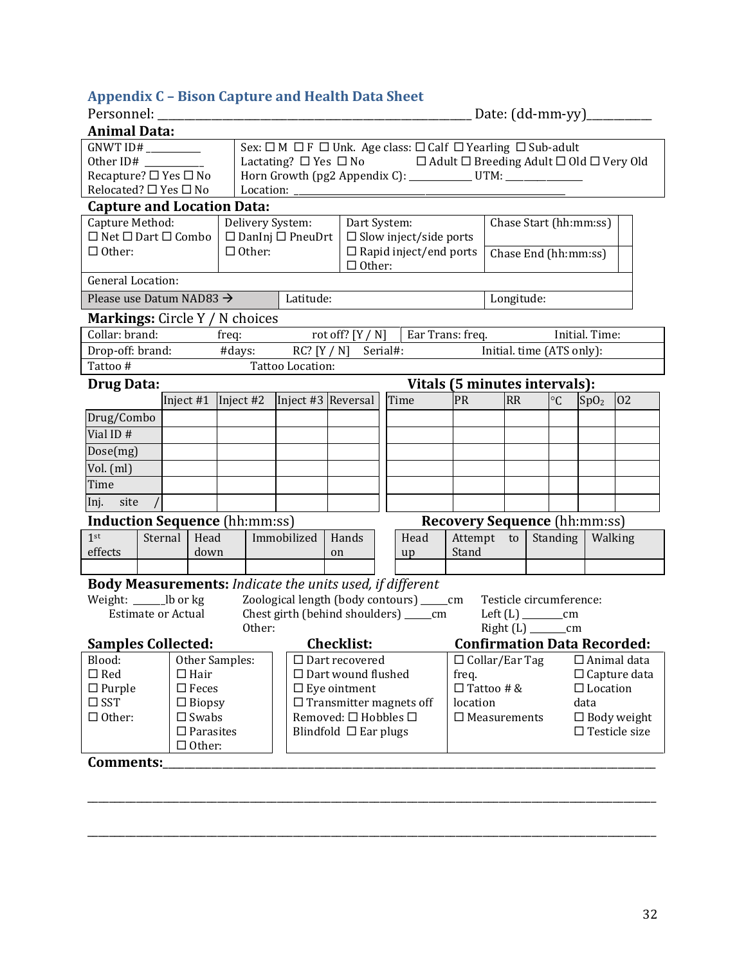# <span id="page-34-0"></span>**Appendix C – Bison Capture and Health Data Sheet**

| <b>Animal Data:</b>                                                                 |         |                     |                                                                                                                                                                 |        |                              |                                                  |  |                                             |                                     |          |           |            |                           |                  |                                    |
|-------------------------------------------------------------------------------------|---------|---------------------|-----------------------------------------------------------------------------------------------------------------------------------------------------------------|--------|------------------------------|--------------------------------------------------|--|---------------------------------------------|-------------------------------------|----------|-----------|------------|---------------------------|------------------|------------------------------------|
| Sex: □ M □ F □ Unk. Age class: □ Calf □ Yearling □ Sub-adult<br>GNWT ID# __________ |         |                     |                                                                                                                                                                 |        |                              |                                                  |  |                                             |                                     |          |           |            |                           |                  |                                    |
| Other ID#                                                                           |         |                     |                                                                                                                                                                 |        |                              |                                                  |  |                                             |                                     |          |           |            |                           |                  |                                    |
| Recapture? □ Yes □ No                                                               |         |                     | Lactating? $\Box$ Yes $\Box$ No $\Box$ Adult $\Box$ Breeding Adult $\Box$ Old $\Box$ Very Old<br>Horn Growth (pg2 Appendix C): ____________ UTM: ______________ |        |                              |                                                  |  |                                             |                                     |          |           |            |                           |                  |                                    |
| Relocated? □ Yes □ No                                                               |         |                     |                                                                                                                                                                 |        |                              |                                                  |  |                                             |                                     |          |           |            |                           |                  |                                    |
| <b>Capture and Location Data:</b>                                                   |         |                     |                                                                                                                                                                 |        |                              |                                                  |  |                                             |                                     |          |           |            |                           |                  |                                    |
| Capture Method:                                                                     |         |                     |                                                                                                                                                                 |        | Delivery System:             | Dart System:                                     |  |                                             | Chase Start (hh:mm:ss)              |          |           |            |                           |                  |                                    |
| $\Box$ Net $\Box$ Dart $\Box$ Combo                                                 |         |                     |                                                                                                                                                                 |        | $\Box$ DanInj $\Box$ PneuDrt |                                                  |  | $\square$ Slow inject/side ports            |                                     |          |           |            |                           |                  |                                    |
| $\Box$ Other:                                                                       |         |                     | $\Box$ Other:                                                                                                                                                   |        |                              |                                                  |  | $\Box$ Rapid inject/end ports               |                                     |          |           |            | Chase End (hh:mm:ss)      |                  |                                    |
| <b>General Location:</b>                                                            |         |                     |                                                                                                                                                                 |        |                              | $\Box$ Other:                                    |  |                                             |                                     |          |           |            |                           |                  |                                    |
| Please use Datum NAD83 $\rightarrow$                                                |         |                     |                                                                                                                                                                 |        | Latitude:                    |                                                  |  |                                             |                                     |          |           |            |                           |                  |                                    |
|                                                                                     |         |                     |                                                                                                                                                                 |        |                              |                                                  |  |                                             |                                     |          |           | Longitude: |                           |                  |                                    |
| <b>Markings:</b> Circle Y / N choices<br>Collar: brand:                             |         |                     |                                                                                                                                                                 |        |                              |                                                  |  |                                             |                                     |          |           |            |                           | Initial. Time:   |                                    |
| Drop-off: brand:                                                                    |         |                     | freq:                                                                                                                                                           |        |                              |                                                  |  | rot off? $[Y / N]$   Ear Trans: freq.       |                                     |          |           |            |                           |                  |                                    |
|                                                                                     |         |                     |                                                                                                                                                                 |        | #days: $RC? [Y / N]$         |                                                  |  | Serial#:                                    |                                     |          |           |            | Initial. time (ATS only): |                  |                                    |
| Tattoo #                                                                            |         |                     |                                                                                                                                                                 |        | Tattoo Location:             |                                                  |  |                                             |                                     |          |           |            |                           |                  |                                    |
| <b>Drug Data:</b>                                                                   |         |                     |                                                                                                                                                                 |        |                              |                                                  |  | Vitals (5 minutes intervals):               |                                     |          |           |            |                           |                  |                                    |
|                                                                                     |         |                     |                                                                                                                                                                 |        |                              | Inject #1   Inject #2   Inject #3   Reversal     |  | Time                                        | PR                                  |          | <b>RR</b> |            | $\circ$ C                 | SpO <sub>2</sub> | 02                                 |
| Drug/Combo                                                                          |         |                     |                                                                                                                                                                 |        |                              |                                                  |  |                                             |                                     |          |           |            |                           |                  |                                    |
| Vial ID#                                                                            |         |                     |                                                                                                                                                                 |        |                              |                                                  |  |                                             |                                     |          |           |            |                           |                  |                                    |
| Dose(mg)                                                                            |         |                     |                                                                                                                                                                 |        |                              |                                                  |  |                                             |                                     |          |           |            |                           |                  |                                    |
| Vol. (ml)                                                                           |         |                     |                                                                                                                                                                 |        |                              |                                                  |  |                                             |                                     |          |           |            |                           |                  |                                    |
| Time                                                                                |         |                     |                                                                                                                                                                 |        |                              |                                                  |  |                                             |                                     |          |           |            |                           |                  |                                    |
| Inj. site                                                                           |         |                     |                                                                                                                                                                 |        |                              |                                                  |  |                                             |                                     |          |           |            |                           |                  |                                    |
| <b>Induction Sequence</b> (hh:mm:ss)                                                |         |                     |                                                                                                                                                                 |        |                              |                                                  |  |                                             | <b>Recovery Sequence (hh:mm:ss)</b> |          |           |            |                           |                  |                                    |
| 1 <sup>st</sup>                                                                     | Sternal | Head                |                                                                                                                                                                 |        | Immobilized                  | Hands                                            |  | Head                                        | Attempt to                          |          |           |            | Standing                  | Walking          |                                    |
| effects                                                                             |         | down                |                                                                                                                                                                 |        |                              | on                                               |  | up                                          | Stand                               |          |           |            |                           |                  |                                    |
|                                                                                     |         |                     |                                                                                                                                                                 |        |                              |                                                  |  |                                             |                                     |          |           |            |                           |                  |                                    |
| <b>Body Measurements:</b> Indicate the units used, if different                     |         |                     |                                                                                                                                                                 |        |                              |                                                  |  |                                             |                                     |          |           |            |                           |                  |                                    |
| Weight: ________lb or kg                                                            |         |                     |                                                                                                                                                                 |        |                              |                                                  |  | Zoological length (body contours) ______ cm |                                     |          |           |            | Testicle circumference:   |                  |                                    |
| <b>Estimate or Actual</b>                                                           |         |                     |                                                                                                                                                                 |        |                              |                                                  |  | Chest girth (behind shoulders) _______ cm   |                                     |          |           |            |                           |                  |                                    |
|                                                                                     |         |                     |                                                                                                                                                                 | Other: |                              |                                                  |  |                                             |                                     |          |           |            | Right (L) ________cm      |                  |                                    |
| <b>Samples Collected:</b>                                                           |         |                     |                                                                                                                                                                 |        |                              | <b>Checklist:</b>                                |  |                                             |                                     |          |           |            |                           |                  | <b>Confirmation Data Recorded:</b> |
| Other Samples:<br>Blood:                                                            |         |                     |                                                                                                                                                                 |        | $\Box$ Dart recovered        |                                                  |  | $\Box$ Collar/Ear Tag<br>$\Box$ Animal data |                                     |          |           |            |                           |                  |                                    |
| $\Box$ Red<br>$\Box$ Hair                                                           |         |                     |                                                                                                                                                                 |        |                              | $\Box$ Dart wound flushed<br>$\Box$ Eye ointment |  |                                             | freq.<br>$\Box$ Tattoo # &          |          |           |            | $\Box$ Capture data       |                  |                                    |
| $\Box$ Purple<br>$\Box$ Feces<br>$\square$ SST<br>$\Box$ Biopsy                     |         |                     |                                                                                                                                                                 |        |                              | $\Box$ Transmitter magnets off                   |  |                                             |                                     | location |           |            | data                      | $\Box$ Location  |                                    |
| $\Box$ Other:                                                                       |         | $\square$ Swabs     |                                                                                                                                                                 |        |                              | Removed: □ Hobbles □                             |  |                                             | $\square$ Measurements              |          |           |            |                           |                  | $\Box$ Body weight                 |
|                                                                                     |         | $\square$ Parasites |                                                                                                                                                                 |        |                              | Blindfold $\Box$ Ear plugs                       |  |                                             |                                     |          |           |            |                           |                  | $\Box$ Testicle size               |
|                                                                                     |         | $\Box$ Other:       |                                                                                                                                                                 |        |                              |                                                  |  |                                             |                                     |          |           |            |                           |                  |                                    |
| Comments:                                                                           |         |                     |                                                                                                                                                                 |        |                              |                                                  |  |                                             |                                     |          |           |            |                           |                  |                                    |

\_\_\_\_\_\_\_\_\_\_\_\_\_\_\_\_\_\_\_\_\_\_\_\_\_\_\_\_\_\_\_\_\_\_\_\_\_\_\_\_\_\_\_\_\_\_\_\_\_\_\_\_\_\_\_\_\_\_\_\_\_\_\_\_\_\_\_\_\_\_\_\_\_\_\_\_\_\_\_\_\_\_\_\_\_\_\_\_\_\_\_\_\_\_\_\_\_\_\_\_\_\_\_\_\_

\_\_\_\_\_\_\_\_\_\_\_\_\_\_\_\_\_\_\_\_\_\_\_\_\_\_\_\_\_\_\_\_\_\_\_\_\_\_\_\_\_\_\_\_\_\_\_\_\_\_\_\_\_\_\_\_\_\_\_\_\_\_\_\_\_\_\_\_\_\_\_\_\_\_\_\_\_\_\_\_\_\_\_\_\_\_\_\_\_\_\_\_\_\_\_\_\_\_\_\_\_\_\_\_\_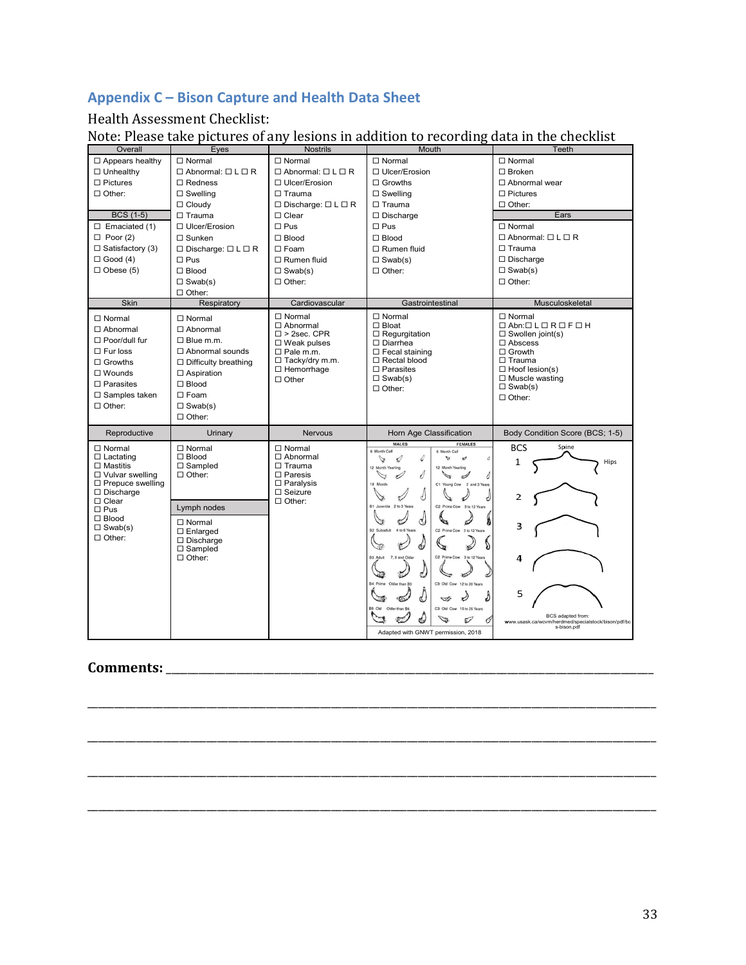# **Appendix C – Bison Capture and Health Data Sheet**

#### Health Assessment Checklist:

Note: Please take pictures of any lesions in addition to recording data in the checklist

| Overall                                                                                                                                                                        | Eyes                                                                                                                                                                                                       | <b>Nostrils</b>                                                                                                                                                   | Mouth                                                                                                                                                                                                                                                                                             | Teeth                                                                                                                                                                                                                                   |  |  |
|--------------------------------------------------------------------------------------------------------------------------------------------------------------------------------|------------------------------------------------------------------------------------------------------------------------------------------------------------------------------------------------------------|-------------------------------------------------------------------------------------------------------------------------------------------------------------------|---------------------------------------------------------------------------------------------------------------------------------------------------------------------------------------------------------------------------------------------------------------------------------------------------|-----------------------------------------------------------------------------------------------------------------------------------------------------------------------------------------------------------------------------------------|--|--|
| $\Box$ Appears healthy                                                                                                                                                         | $\Box$ Normal                                                                                                                                                                                              | $\Box$ Normal                                                                                                                                                     | $\Box$ Normal                                                                                                                                                                                                                                                                                     | $\Box$ Normal                                                                                                                                                                                                                           |  |  |
| $\Box$ Unhealthy                                                                                                                                                               | $\Box$ Abnormal: $\Box$ L $\Box$ R                                                                                                                                                                         | $\Box$ Abnormal: $\Box$ L $\Box$ R                                                                                                                                | □ Ulcer/Erosion                                                                                                                                                                                                                                                                                   | $\Box$ Broken                                                                                                                                                                                                                           |  |  |
| $\Box$ Pictures                                                                                                                                                                | $\Box$ Redness                                                                                                                                                                                             | $\Box$ Ulcer/Erosion                                                                                                                                              | $\Box$ Growths                                                                                                                                                                                                                                                                                    | $\Box$ Abnormal wear                                                                                                                                                                                                                    |  |  |
| $\Box$ Other:                                                                                                                                                                  | $\Box$ Swelling                                                                                                                                                                                            | $\Box$ Trauma                                                                                                                                                     | $\Box$ Swelling                                                                                                                                                                                                                                                                                   | $\Box$ Pictures                                                                                                                                                                                                                         |  |  |
|                                                                                                                                                                                | $\Box$ Cloudy                                                                                                                                                                                              | $\Box$ Discharge: $\Box$ L $\Box$ R                                                                                                                               | $\Box$ Trauma                                                                                                                                                                                                                                                                                     | $\Box$ Other:                                                                                                                                                                                                                           |  |  |
| <b>BCS (1-5)</b>                                                                                                                                                               | $\Box$ Trauma                                                                                                                                                                                              | $\Box$ Clear                                                                                                                                                      | $\Box$ Discharge                                                                                                                                                                                                                                                                                  | Ears                                                                                                                                                                                                                                    |  |  |
| $\Box$ Emaciated (1)                                                                                                                                                           | □ Ulcer/Erosion                                                                                                                                                                                            | $\square$ Pus                                                                                                                                                     | $\square$ Pus                                                                                                                                                                                                                                                                                     | $\Box$ Normal                                                                                                                                                                                                                           |  |  |
| $\Box$ Poor (2)                                                                                                                                                                | $\Box$ Sunken                                                                                                                                                                                              | $\Box$ Blood                                                                                                                                                      | $\Box$ Blood                                                                                                                                                                                                                                                                                      | $\Box$ Abnormal: $\Box$ L $\Box$ R                                                                                                                                                                                                      |  |  |
| $\Box$ Satisfactory (3)                                                                                                                                                        | $\Box$ Discharge: $\Box$ L $\Box$ R                                                                                                                                                                        | $\Box$ Foam                                                                                                                                                       | $\Box$ Rumen fluid                                                                                                                                                                                                                                                                                | $\Box$ Trauma                                                                                                                                                                                                                           |  |  |
| $\Box$ Good (4)                                                                                                                                                                | $\square$ Pus                                                                                                                                                                                              | $\Box$ Rumen fluid                                                                                                                                                | $\Box$ Swab(s)                                                                                                                                                                                                                                                                                    | $\Box$ Discharge                                                                                                                                                                                                                        |  |  |
| $\Box$ Obese (5)                                                                                                                                                               | $\Box$ Blood                                                                                                                                                                                               | $\square$ Swab(s)                                                                                                                                                 | $\Box$ Other:                                                                                                                                                                                                                                                                                     | $\Box$ Swab(s)                                                                                                                                                                                                                          |  |  |
|                                                                                                                                                                                | $\Box$ Swab(s)                                                                                                                                                                                             | $\Box$ Other:                                                                                                                                                     |                                                                                                                                                                                                                                                                                                   | $\Box$ Other:                                                                                                                                                                                                                           |  |  |
|                                                                                                                                                                                | $\Box$ Other:                                                                                                                                                                                              |                                                                                                                                                                   |                                                                                                                                                                                                                                                                                                   |                                                                                                                                                                                                                                         |  |  |
| <b>Skin</b>                                                                                                                                                                    | Respiratory                                                                                                                                                                                                | Cardiovascular                                                                                                                                                    | Gastrointestinal                                                                                                                                                                                                                                                                                  | Musculoskeletal                                                                                                                                                                                                                         |  |  |
| $\Box$ Normal<br>$\Box$ Abnormal<br>$\Box$ Poor/dull fur<br>$\Box$ Fur loss<br>$\Box$ Growths<br>$\square$ Wounds<br>$\Box$ Parasites<br>$\Box$ Samples taken<br>$\Box$ Other: | $\Box$ Normal<br>$\Box$ Abnormal<br>$\Box$ Blue m.m.<br>$\Box$ Abnormal sounds<br>$\Box$ Difficulty breathing<br>$\Box$ Aspiration<br>$\square$ Blood<br>$\square$ Foam<br>$\Box$ Swab(s)<br>$\Box$ Other: | $\Box$ Normal<br>$\Box$ Abnormal<br>$\square$ > 2sec. CPR<br>$\Box$ Weak pulses<br>$\Box$ Pale m.m.<br>$\Box$ Tacky/dry m.m.<br>$\Box$ Hemorrhage<br>$\Box$ Other | $\Box$ Normal<br>$\Box$ Bloat<br>$\Box$ Regurgitation<br>$\Box$ Diarrhea<br>$\Box$ Fecal staining<br>$\Box$ Rectal blood<br>$\Box$ Parasites<br>$\Box$ Swab(s)<br>$\Box$ Other:                                                                                                                   | $\Box$ Normal<br>$\Box$ Abn: $\Box$ L $\Box$ R $\Box$ F $\Box$ H<br>$\Box$ Swollen joint(s)<br>$\square$ Abscess<br>$\Box$ Growth<br>$\Box$ Trauma<br>$\Box$ Hoof lesion(s)<br>$\Box$ Muscle wasting<br>$\Box$ Swab(s)<br>$\Box$ Other: |  |  |
| Reproductive                                                                                                                                                                   | Urinary                                                                                                                                                                                                    | <b>Nervous</b>                                                                                                                                                    | Horn Age Classification                                                                                                                                                                                                                                                                           | Body Condition Score (BCS; 1-5)                                                                                                                                                                                                         |  |  |
| $\Box$ Normal<br>$\Box$ Lactating<br>$\Box$ Mastitis<br>$\Box$ Vulvar swelling<br>$\square$ Prepuce swelling<br>$\Box$ Discharge                                               | $\Box$ Normal<br>$\square$ Blood<br>$\Box$ Sampled<br>$\Box$ Other:                                                                                                                                        | $\Box$ Normal<br>$\Box$ Abnormal<br>$\Box$ Trauma<br>$\Box$ Paresis<br>$\Box$ Paralysis<br>$\square$ Seizure                                                      | <b>MALES</b><br><b>FEMALES</b><br>6 Month Calf<br>6 Month Calf<br>⇙<br>D<br>A<br>$\mathcal O$<br>A<br>12 Month Yearling<br>12 Month Yearling<br>₫<br>$\mathcal{A}$<br>À<br>⇘<br>18 Month<br>C1 Young Cow 2 and 3 Years                                                                            | <b>BCS</b><br>Spine<br>1<br>Hips<br>2                                                                                                                                                                                                   |  |  |
| $\Box$ Clear<br>$\square$ Pus                                                                                                                                                  | Lymph nodes                                                                                                                                                                                                | $\Box$ Other:                                                                                                                                                     | B1 Juvenile 2 to 3 Years<br>C2 Prime Cow 3 to 12 Years                                                                                                                                                                                                                                            |                                                                                                                                                                                                                                         |  |  |
| $\Box$ Blood<br>$\Box$ Swab(s)<br>$\Box$ Other:                                                                                                                                | $\Box$ Normal<br>$\Box$ Enlarged<br>$\Box$ Discharge<br>$\Box$ Sampled<br>$\Box$ Other:                                                                                                                    |                                                                                                                                                                   | C2 Prime Cow 3 to 12 Years<br><b>B2 Subadult</b><br>4 to 6 Years<br><b>Ca</b><br>C2 Prime Cow<br>3 to 12 Years<br><b>R3 Adult</b><br>7. 8 and Older<br>C3 Old Cow 12 to 20 Years<br>34 Prime Older than R3<br>- 57<br>C3 Old Cow 15 to 25 Years<br>35 Old<br>Older than R4<br>$\mathcal{C}$<br>S. | 3<br>4<br>5<br>BCS adapted from:                                                                                                                                                                                                        |  |  |
|                                                                                                                                                                                |                                                                                                                                                                                                            |                                                                                                                                                                   | Adapted with GNWT permission, 2018                                                                                                                                                                                                                                                                | www.usask.ca/wcvm/herdmed/specialstock/bison/pdf/bc<br>s-bison.pdf                                                                                                                                                                      |  |  |

\_\_\_\_\_\_\_\_\_\_\_\_\_\_\_\_\_\_\_\_\_\_\_\_\_\_\_\_\_\_\_\_\_\_\_\_\_\_\_\_\_\_\_\_\_\_\_\_\_\_\_\_\_\_\_\_\_\_\_\_\_\_\_\_\_\_\_\_\_\_\_\_\_\_\_\_\_\_\_\_\_\_\_\_\_\_\_\_\_\_\_\_\_\_\_\_\_\_\_\_\_\_\_\_\_

\_\_\_\_\_\_\_\_\_\_\_\_\_\_\_\_\_\_\_\_\_\_\_\_\_\_\_\_\_\_\_\_\_\_\_\_\_\_\_\_\_\_\_\_\_\_\_\_\_\_\_\_\_\_\_\_\_\_\_\_\_\_\_\_\_\_\_\_\_\_\_\_\_\_\_\_\_\_\_\_\_\_\_\_\_\_\_\_\_\_\_\_\_\_\_\_\_\_\_\_\_\_\_\_\_

\_\_\_\_\_\_\_\_\_\_\_\_\_\_\_\_\_\_\_\_\_\_\_\_\_\_\_\_\_\_\_\_\_\_\_\_\_\_\_\_\_\_\_\_\_\_\_\_\_\_\_\_\_\_\_\_\_\_\_\_\_\_\_\_\_\_\_\_\_\_\_\_\_\_\_\_\_\_\_\_\_\_\_\_\_\_\_\_\_\_\_\_\_\_\_\_\_\_\_\_\_\_\_\_\_

\_\_\_\_\_\_\_\_\_\_\_\_\_\_\_\_\_\_\_\_\_\_\_\_\_\_\_\_\_\_\_\_\_\_\_\_\_\_\_\_\_\_\_\_\_\_\_\_\_\_\_\_\_\_\_\_\_\_\_\_\_\_\_\_\_\_\_\_\_\_\_\_\_\_\_\_\_\_\_\_\_\_\_\_\_\_\_\_\_\_\_\_\_\_\_\_\_\_\_\_\_\_\_\_\_

#### **Comments:** \_\_\_\_\_\_\_\_\_\_\_\_\_\_\_\_\_\_\_\_\_\_\_\_\_\_\_\_\_\_\_\_\_\_\_\_\_\_\_\_\_\_\_\_\_\_\_\_\_\_\_\_\_\_\_\_\_\_\_\_\_\_\_\_\_\_\_\_\_\_\_\_\_\_\_\_\_\_\_\_\_\_\_\_\_\_\_\_\_\_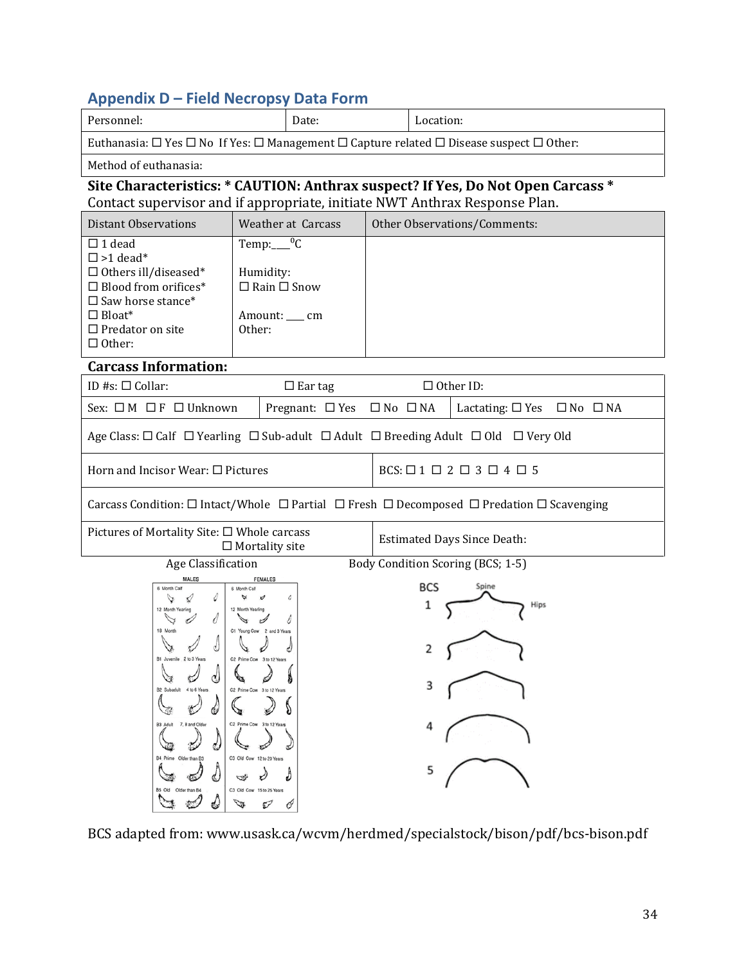# <span id="page-36-0"></span>**Appendix D – Field Necropsy Data Form**

| Personnel:<br>Date:                                                                                                                                                                              |                                                                                                                                                                                                                                  |                                          |                                    | Location:                                                                                                             |  |  |  |  |  |
|--------------------------------------------------------------------------------------------------------------------------------------------------------------------------------------------------|----------------------------------------------------------------------------------------------------------------------------------------------------------------------------------------------------------------------------------|------------------------------------------|------------------------------------|-----------------------------------------------------------------------------------------------------------------------|--|--|--|--|--|
| Euthanasia: $\Box$ Yes $\Box$ No If Yes: $\Box$ Management $\Box$ Capture related $\Box$ Disease suspect $\Box$ Other:                                                                           |                                                                                                                                                                                                                                  |                                          |                                    |                                                                                                                       |  |  |  |  |  |
| Method of euthanasia:                                                                                                                                                                            |                                                                                                                                                                                                                                  |                                          |                                    |                                                                                                                       |  |  |  |  |  |
| Site Characteristics: * CAUTION: Anthrax suspect? If Yes, Do Not Open Carcass *                                                                                                                  |                                                                                                                                                                                                                                  |                                          |                                    |                                                                                                                       |  |  |  |  |  |
| Contact supervisor and if appropriate, initiate NWT Anthrax Response Plan.                                                                                                                       |                                                                                                                                                                                                                                  |                                          |                                    |                                                                                                                       |  |  |  |  |  |
| <b>Distant Observations</b>                                                                                                                                                                      |                                                                                                                                                                                                                                  | Weather at Carcass                       |                                    | Other Observations/Comments:                                                                                          |  |  |  |  |  |
| $\Box$ 1 dead<br>$\square$ >1 dead*<br>$\Box$ Others ill/diseased*<br>$\Box$ Blood from orifices*<br>$\square$ Saw horse stance*<br>$\Box$ Bloat*<br>$\square$ Predator on site<br>$\Box$ Other: | Temp: ${}^{0}C$<br>Humidity:<br>$\Box$ Rain $\Box$ Snow<br>Amount: ___ cm<br>Other:                                                                                                                                              |                                          |                                    |                                                                                                                       |  |  |  |  |  |
| <b>Carcass Information:</b>                                                                                                                                                                      |                                                                                                                                                                                                                                  |                                          |                                    |                                                                                                                       |  |  |  |  |  |
| ID #s: $\Box$ Collar:                                                                                                                                                                            |                                                                                                                                                                                                                                  | $\Box$ Ear tag                           |                                    | $\Box$ Other ID:                                                                                                      |  |  |  |  |  |
| Sex: $\Box M \Box F \Box$ Unknown                                                                                                                                                                |                                                                                                                                                                                                                                  | Pregnant: $\Box$ Yes $\Box$ No $\Box$ NA |                                    | Lactating: $\square$ Yes $\square$ No $\square$ NA                                                                    |  |  |  |  |  |
|                                                                                                                                                                                                  |                                                                                                                                                                                                                                  |                                          |                                    | Age Class: $\Box$ Calf $\Box$ Yearling $\Box$ Sub-adult $\Box$ Adult $\Box$ Breeding Adult $\Box$ Old $\Box$ Very Old |  |  |  |  |  |
| Horn and Incisor Wear: $\square$ Pictures                                                                                                                                                        |                                                                                                                                                                                                                                  |                                          |                                    | $BCS: \Box 1 \Box 2 \Box 3 \Box 4 \Box 5$                                                                             |  |  |  |  |  |
|                                                                                                                                                                                                  |                                                                                                                                                                                                                                  |                                          |                                    | Carcass Condition: □ Intact/Whole □ Partial □ Fresh □ Decomposed □ Predation □ Scavenging                             |  |  |  |  |  |
| Pictures of Mortality Site: □ Whole carcass                                                                                                                                                      | $\Box$ Mortality site                                                                                                                                                                                                            |                                          | <b>Estimated Days Since Death:</b> |                                                                                                                       |  |  |  |  |  |
| Age Classification                                                                                                                                                                               |                                                                                                                                                                                                                                  |                                          |                                    | Body Condition Scoring (BCS; 1-5)                                                                                     |  |  |  |  |  |
| <b>MALES</b><br>6 Month Calf<br>12 Month Yearling<br>B1 Juvenile 2 to 3 Years<br>B2 Subadult 4 to 6 Years<br>B3 Adult<br>7.8 and Older<br>B4, Prime Older than B3<br>B5 Old<br>Older than B4     | <b>FEMALES</b><br>6 Month Cal<br>C1 Young Cow 2 and 3 Years<br>C2 Prime Cow 3 to 12 Years<br>C2 Prime Cow 3 to 12 Years<br>C2 Prime Cow 3 to 12 Years<br>C3 Old Cow 12 to 20 Years<br>₩<br>C3 Old Cow 15 to 25 Years<br>ED.<br>0 |                                          |                                    | <b>BCS</b><br>Spine<br>1<br>Hips                                                                                      |  |  |  |  |  |

BCS adapted from: www.usask.ca/wcvm/herdmed/specialstock/bison/pdf/bcs-bison.pdf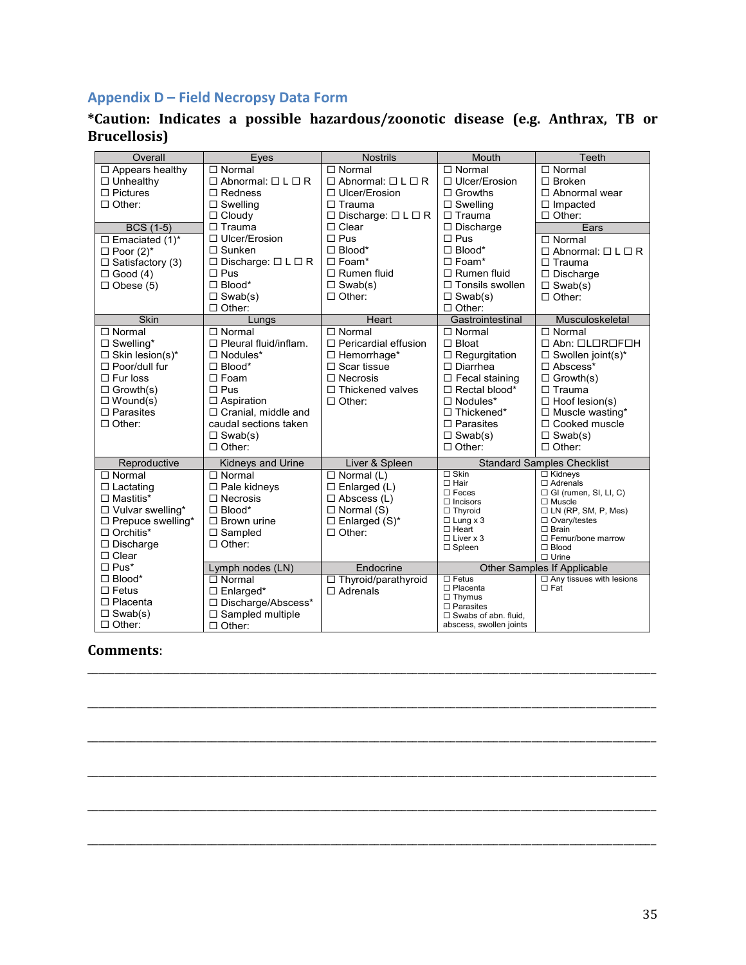# **Appendix D – Field Necropsy Data Form**

#### **\*Caution: Indicates a possible hazardous/zoonotic disease (e.g. Anthrax, TB or Brucellosis)**

| Overall                  | Eyes                                         | <b>Nostrils</b>                              | <b>Mouth</b>                       | Teeth                                           |
|--------------------------|----------------------------------------------|----------------------------------------------|------------------------------------|-------------------------------------------------|
| $\Box$ Appears healthy   | $\Box$ Normal                                | $\Box$ Normal                                | $\Box$ Normal                      | $\Box$ Normal                                   |
| $\Box$ Unhealthy         | $\Box$ Abnormal: $\Box$ L $\Box$ R           | $\Box$ Abnormal: $\Box$ L $\Box$ R           | $\Box$ Ulcer/Erosion               | $\square$ Broken                                |
| $\Box$ Pictures          | $\Box$ Redness                               | $\Box$ Ulcer/Erosion                         | $\Box$ Growths                     | $\Box$ Abnormal wear                            |
| $\Box$ Other:            | $\Box$ Swelling                              | $\Box$ Trauma                                | $\square$ Swelling                 | $\Box$ Impacted                                 |
|                          | $\Box$ Cloudy                                | $\square$ Discharge: $\square$ L $\square$ R | $\Box$ Trauma                      | $\Box$ Other:                                   |
| <b>BCS</b> (1-5)         | $\Box$ Trauma                                | $\Box$ Clear                                 | $\Box$ Discharge                   | Ears                                            |
| $\Box$ Emaciated (1)*    | □ Ulcer/Erosion                              | $\Box$ Pus                                   | $\Box$ Pus                         | $\Box$ Normal                                   |
| $\Box$ Poor (2)*         | $\Box$ Sunken                                | $\Box$ Blood*                                | $\Box$ Blood*                      | $\Box$ Abnormal: $\Box$ L $\Box$ R              |
| $\Box$ Satisfactory (3)  | $\square$ Discharge: $\square$ L $\square$ R | $\Box$ Foam*                                 | $\Box$ Foam*                       | $\Box$ Trauma                                   |
| $\Box$ Good (4)          | $\square$ Pus                                | $\Box$ Rumen fluid                           | $\Box$ Rumen fluid                 | $\Box$ Discharge                                |
| $\Box$ Obese (5)         | $\Box$ Blood*                                | $\square$ Swab(s)                            | $\Box$ Tonsils swollen             | $\Box$ Swab(s)                                  |
|                          | $\Box$ Swab(s)                               | $\Box$ Other:                                | $\Box$ Swab(s)                     | $\Box$ Other:                                   |
|                          | $\Box$ Other:                                |                                              | $\Box$ Other:                      |                                                 |
| Skin                     | Lungs                                        | Heart                                        | Gastrointestinal                   | Musculoskeletal                                 |
| $\Box$ Normal            | $\Box$ Normal                                | $\Box$ Normal                                | $\Box$ Normal                      | $\Box$ Normal                                   |
| $\square$ Swelling*      | $\Box$ Pleural fluid/inflam.                 | $\Box$ Pericardial effusion                  | $\Box$ Bloat                       | $\Box$ Abn: $\Box$ L $\Box$ R $\Box$ F $\Box$ H |
| $\Box$ Skin lesion(s)*   | $\Box$ Nodules*                              | $\Box$ Hemorrhage*                           | $\Box$ Regurgitation               | $\Box$ Swollen joint(s)*                        |
| $\Box$ Poor/dull fur     | $\Box$ Blood*                                | $\Box$ Scar tissue                           | $\Box$ Diarrhea                    | $\Box$ Abscess*                                 |
| $\Box$ Fur loss          | $\Box$ Foam                                  | $\Box$ Necrosis                              | $\Box$ Fecal staining              | $\Box$ Growth(s)                                |
| $\Box$ Growth(s)         | $\square$ Pus                                | $\Box$ Thickened valves                      | $\Box$ Rectal blood*               | $\Box$ Trauma                                   |
| $\Box$ Wound(s)          | $\Box$ Aspiration                            | $\Box$ Other:                                | $\Box$ Nodules*                    | $\Box$ Hoof lesion(s)                           |
| $\Box$ Parasites         | $\Box$ Cranial, middle and                   |                                              | $\Box$ Thickened*                  | $\Box$ Muscle wasting*                          |
| $\Box$ Other:            | caudal sections taken                        |                                              | $\Box$ Parasites                   | □ Cooked muscle                                 |
|                          | $\Box$ Swab(s)                               |                                              | $\Box$ Swab(s)                     | $\Box$ Swab(s)                                  |
|                          | $\Box$ Other:                                |                                              | $\Box$ Other:                      | $\Box$ Other:                                   |
| Reproductive             | Kidneys and Urine                            | Liver & Spleen                               |                                    | <b>Standard Samples Checklist</b>               |
| $\Box$ Normal            | $\Box$ Normal                                | $\Box$ Normal (L)                            | $\Box$ Skin                        | $\Box$ Kidneys                                  |
| $\Box$ Lactating         | $\square$ Pale kidneys                       | $\square$ Enlarged (L)                       | $\Box$ Hair                        | $\Box$ Adrenals                                 |
| $\Box$ Mastitis*         | $\Box$ Necrosis                              | $\Box$ Abscess (L)                           | $\square$ Feces<br>$\Box$ Incisors | $\Box$ GI (rumen, SI, LI, C)<br>$\Box$ Muscle   |
| □ Vulvar swelling*       | $\Box$ Blood*                                | $\Box$ Normal (S)                            | $\Box$ Thyroid                     | $\Box$ LN (RP, SM, P, Mes)                      |
| $\Box$ Prepuce swelling* | $\Box$ Brown urine                           | $\square$ Enlarged (S)*                      | $\Box$ Lung x 3                    | $\Box$ Ovary/testes                             |
| $\Box$ Orchitis*         | $\Box$ Sampled                               | $\Box$ Other:                                | $\Box$ Heart                       | $\Box$ Brain                                    |
| □ Discharge              | $\Box$ Other:                                |                                              | $\Box$ Liver x 3<br>$\Box$ Spleen  | $\Box$ Femur/bone marrow<br>$\Box$ Blood        |
| $\Box$ Clear             |                                              |                                              |                                    | $\Box$ Urine                                    |
| $\Box$ Pus*              | Lymph nodes (LN)                             | Endocrine                                    |                                    | Other Samples If Applicable                     |
| $\Box$ Blood*            | $\Box$ Normal                                | □ Thyroid/parathyroid                        | $\Box$ Fetus                       | $\Box$ Any tissues with lesions                 |
| $\Box$ Fetus             | $\Box$ Enlarged*                             | $\Box$ Adrenals                              | $\Box$ Placenta                    | $\Box$ Fat                                      |
| $\Box$ Placenta          | □ Discharge/Abscess*                         |                                              | $\Box$ Thymus<br>$\Box$ Parasites  |                                                 |
| $\Box$ Swab(s)           | $\square$ Sampled multiple                   |                                              | $\Box$ Swabs of abn. fluid,        |                                                 |
| $\Box$ Other:            | $\Box$ Other:                                |                                              | abscess, swollen joints            |                                                 |

\_\_\_\_\_\_\_\_\_\_\_\_\_\_\_\_\_\_\_\_\_\_\_\_\_\_\_\_\_\_\_\_\_\_\_\_\_\_\_\_\_\_\_\_\_\_\_\_\_\_\_\_\_\_\_\_\_\_\_\_\_\_\_\_\_\_\_\_\_\_\_\_\_\_\_\_\_\_\_\_\_\_\_\_\_\_\_\_\_\_\_\_\_\_\_\_\_\_\_\_\_\_\_\_\_

\_\_\_\_\_\_\_\_\_\_\_\_\_\_\_\_\_\_\_\_\_\_\_\_\_\_\_\_\_\_\_\_\_\_\_\_\_\_\_\_\_\_\_\_\_\_\_\_\_\_\_\_\_\_\_\_\_\_\_\_\_\_\_\_\_\_\_\_\_\_\_\_\_\_\_\_\_\_\_\_\_\_\_\_\_\_\_\_\_\_\_\_\_\_\_\_\_\_\_\_\_\_\_\_\_

\_\_\_\_\_\_\_\_\_\_\_\_\_\_\_\_\_\_\_\_\_\_\_\_\_\_\_\_\_\_\_\_\_\_\_\_\_\_\_\_\_\_\_\_\_\_\_\_\_\_\_\_\_\_\_\_\_\_\_\_\_\_\_\_\_\_\_\_\_\_\_\_\_\_\_\_\_\_\_\_\_\_\_\_\_\_\_\_\_\_\_\_\_\_\_\_\_\_\_\_\_\_\_\_\_

\_\_\_\_\_\_\_\_\_\_\_\_\_\_\_\_\_\_\_\_\_\_\_\_\_\_\_\_\_\_\_\_\_\_\_\_\_\_\_\_\_\_\_\_\_\_\_\_\_\_\_\_\_\_\_\_\_\_\_\_\_\_\_\_\_\_\_\_\_\_\_\_\_\_\_\_\_\_\_\_\_\_\_\_\_\_\_\_\_\_\_\_\_\_\_\_\_\_\_\_\_\_\_\_\_

\_\_\_\_\_\_\_\_\_\_\_\_\_\_\_\_\_\_\_\_\_\_\_\_\_\_\_\_\_\_\_\_\_\_\_\_\_\_\_\_\_\_\_\_\_\_\_\_\_\_\_\_\_\_\_\_\_\_\_\_\_\_\_\_\_\_\_\_\_\_\_\_\_\_\_\_\_\_\_\_\_\_\_\_\_\_\_\_\_\_\_\_\_\_\_\_\_\_\_\_\_\_\_\_\_

\_\_\_\_\_\_\_\_\_\_\_\_\_\_\_\_\_\_\_\_\_\_\_\_\_\_\_\_\_\_\_\_\_\_\_\_\_\_\_\_\_\_\_\_\_\_\_\_\_\_\_\_\_\_\_\_\_\_\_\_\_\_\_\_\_\_\_\_\_\_\_\_\_\_\_\_\_\_\_\_\_\_\_\_\_\_\_\_\_\_\_\_\_\_\_\_\_\_\_\_\_\_\_\_\_

# **Comments**: